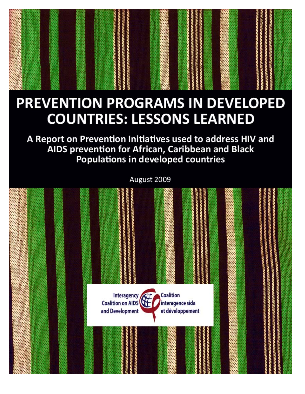# PREVENTION PROGRAMS IN DEVELOPED **COUNTRIES: LESSONS LEARNED**

A Report on Prevention Initiatives used to address HIV and AIDS prevention for African, Caribbean and Black **Populations in developed countries** 

August 2009

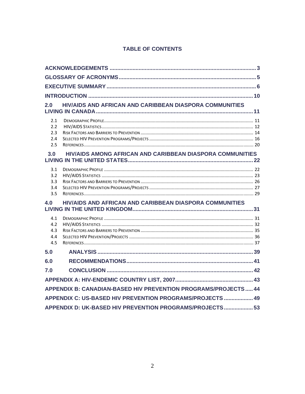## **TABLE OF CONTENTS**

| 2.0                                                             | <b>HIV/AIDS AND AFRICAN AND CARIBBEAN DIASPORA COMMUNITIES</b> |  |  |
|-----------------------------------------------------------------|----------------------------------------------------------------|--|--|
| 2.1<br>2.2<br>2.3<br>2.4<br>2.5                                 |                                                                |  |  |
| 3.0                                                             | HIV/AIDS AMONG AFRICAN AND CARIBBEAN DIASPORA COMMUNITIES      |  |  |
| 3.1<br>3.2<br>3.3<br>3.4<br>3.5                                 |                                                                |  |  |
| 4.0                                                             | HIV/AIDS AND AFRICAN AND CARIBBEAN DIASPORA COMMUNITIES        |  |  |
| 4.1<br>4.2<br>4.3<br>4.4<br>4.5                                 |                                                                |  |  |
| 5.0                                                             |                                                                |  |  |
| 6.0                                                             |                                                                |  |  |
| 7.0                                                             |                                                                |  |  |
|                                                                 |                                                                |  |  |
| APPENDIX B: CANADIAN-BASED HIV PREVENTION PROGRAMS/PROJECTS  44 |                                                                |  |  |
| APPENDIX C: US-BASED HIV PREVENTION PROGRAMS/PROJECTS  49       |                                                                |  |  |
| APPENDIX D: UK-BASED HIV PREVENTION PROGRAMS/PROJECTS 53        |                                                                |  |  |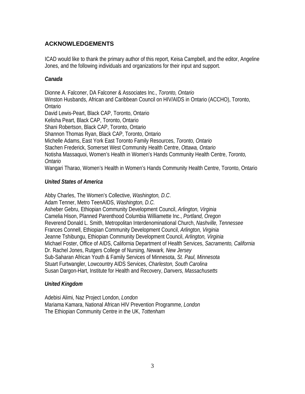## **ACKNOWLEDGEMENTS**

ICAD would like to thank the primary author of this report, Keisa Campbell, and the editor, Angeline Jones, and the following individuals and organizations for their input and support.

## *Canada*

Dionne A. Falconer, DA Falconer & Associates Inc., *Toronto, Ontario*  Winston Husbands, African and Caribbean Council on HIV/AIDS in Ontario (ACCHO), Toronto, Ontario David Lewis-Peart, Black CAP, Toronto, Ontario Kelisha Peart, Black CAP, Toronto, Ontario Shani Robertson, Black CAP, Toronto, Ontario Shannon Thomas Ryan, Black CAP, Toronto, Ontario Michelle Adams, East York East Toronto Family Resources, *Toronto, Ontario* Stachen Frederick, Somerset West Community Health Centre, *Ottawa, Ontario*  Notisha Massaquoi, Women's Health in Women's Hands Community Health Centre, *Toronto, Ontario* Wangari Tharao, Women's Health in Women's Hands Community Health Centre, Toronto, Ontario

## *United States of America*

Abby Charles, The Women's Collective, *Washington, D.C*. Adam Tenner, Metro TeenAIDS, *Washington, D.C.*  Asheber Gebru, Ethiopian Community Development Council, *Arlington, Virginia* Camelia Hison, Planned Parenthood Columbia Williamette Inc., *Portland, Oregon*  Reverend Donald L. Smith, Metropolitan Interdenominational Church, *Nashville, Tennessee*  Frances Connell, Ethiopian Community Development Council, *Arlington, Virginia*  Jeanne Tshibungu, Ethiopian Community Development Council, *Arlington, Virginia* Michael Foster, Office of AIDS, California Department of Health Services, *Sacramento, California* Dr. Rachel Jones, Rutgers College of Nursing, *Newark, New Jersey*  Sub-Saharan African Youth & Family Services of Minnesota, *St. Paul, Minnesota*  Stuart Furtwangler, Lowcountry AIDS Services, *Charleston, South Carolina* Susan Dargon-Hart, Institute for Health and Recovery, *Danvers, Massachusetts*

## *United Kingdom*

Adebisi Alimi, Naz Project London, *London*  Mariama Kamara, National African HIV Prevention Programme, *London* The Ethiopian Community Centre in the UK, *Tottenham*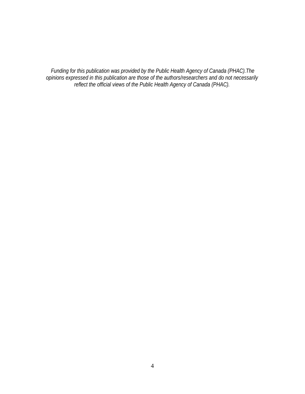*Funding for this publication was provided by the Public Health Agency of Canada (PHAC).The opinions expressed in this publication are those of the authors/researchers and do not necessarily reflect the official views of the Public Health Agency of Canada (PHAC).*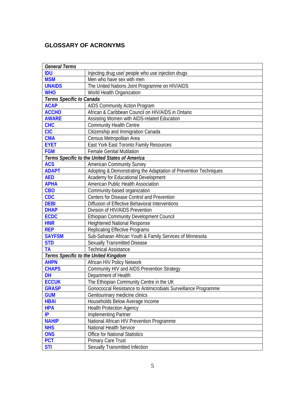## **GLOSSARY OF ACRONYMS**

| <b>General Terms</b>     |                                                                  |
|--------------------------|------------------------------------------------------------------|
| <b>IDU</b>               | Injecting drug use/ people who use injection drugs               |
| <b>MSM</b>               | Men who have sex with men                                        |
| <b>UNAIDS</b>            | The United Nations Joint Programme on HIV/AIDS                   |
| <b>WHO</b>               | World Health Organization                                        |
| Terms Specific to Canada |                                                                  |
| <b>ACAP</b>              | AIDS Community Action Program                                    |
| <b>ACCHO</b>             | African & Caribbean Council on HIV/AIDS in Ontario               |
| <b>AWARE</b>             | Assisting Women with AIDS-related Education                      |
| <b>CHC</b>               | <b>Community Health Centre</b>                                   |
| <b>CIC</b>               | Citizenship and Immigration Canada                               |
| <b>CMA</b>               | Census Metropolitan Area                                         |
| <b>EYET</b>              | East York East Toronto Family Resources                          |
| <b>FGM</b>               | <b>Female Genital Mutilation</b>                                 |
|                          | Terms Specific to the United States of America                   |
| <b>ACS</b>               | <b>American Community Survey</b>                                 |
| <b>ADAPT</b>             | Adopting & Demonstrating the Adaptation of Prevention Techniques |
| <b>AED</b>               | Academy for Educational Development                              |
| <b>APHA</b>              | American Public Health Association                               |
| <b>CBO</b>               | Community-based organization                                     |
| <b>CDC</b>               | Centers for Disease Control and Prevention                       |
| <b>DEBI</b>              | Diffusion of Effective Behavioral Interventions                  |
| <b>DHAP</b>              | Division of HIV/AIDS Prevention                                  |
| <b>ECDC</b>              | <b>Ethiopian Community Development Council</b>                   |
| <b>HNR</b>               | <b>Heightened National Response</b>                              |
| <b>REP</b>               | <b>Replicating Effective Programs</b>                            |
| <b>SAYFSM</b>            | Sub-Saharan African Youth & Family Services of Minnesota         |
| <b>STD</b>               | Sexually Transmitted Disease                                     |
| <b>TA</b>                | <b>Technical Assistance</b>                                      |
|                          | Terms Specific to the United Kingdom                             |
| <b>AHPN</b>              | African HIV Policy Network                                       |
| <b>CHAPS</b>             | Community HIV and AIDS Prevention Strategy                       |
| <b>DH</b>                | Department of Health                                             |
| <b>ECCUK</b>             | The Ethiopian Community Centre in the UK                         |
| <b>GRASP</b>             | Gonococcal Resistance to Antimicrobials Surveillance Programme   |
| <b>GUM</b>               | Genitourinary medicine clinics                                   |
| <b>HBAI</b>              | Households Below Average Income                                  |
| <b>HPA</b>               | <b>Health Protection Agency</b>                                  |
| IP                       | Implementing Partner                                             |
| <b>NAHIP</b>             | National African HIV Prevention Programme                        |
| <b>NHS</b>               | National Health Service                                          |
| <b>ONS</b>               | <b>Office for National Statistics</b>                            |
| <b>PCT</b>               | <b>Primary Care Trust</b>                                        |
| <b>STI</b>               | Sexually Transmitted Infection                                   |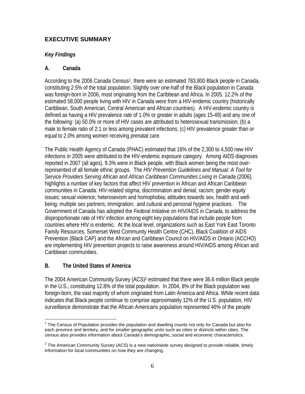## **EXECUTIVE SUMMARY**

## *Key Findings*

## **A. Canada**

According to the 2006 Canada Census<sup>1</sup>, there were an estimated 783,800 Black people in Canada, constituting 2.5% of the total population. Slightly over one-half of the Black population in Canada was foreign-born in 2006, most originating from the Caribbean and Africa. In 2005, 12.2% of the estimated 58,000 people living with HIV in Canada were from a HIV-endemic country (historically Caribbean, South American, Central American and African countries). A HIV-endemic country is defined as having a HIV prevalence rate of 1.0% or greater in adults (ages 15-49) and any one of the following: (a) 50.0% or more of HIV cases are attributed to heterosexual transmission; (b) a male to female ratio of 2:1 or less among prevalent infections; (c) HIV prevalence greater than or equal to 2.0% among women receiving prenatal care.

The Public Health Agency of Canada (PHAC) estimated that 16% of the 2,300 to 4,500 new HIV infections in 2005 were attributed to the HIV-endemic exposure category. Among AIDS diagnoses reported in 2007 (all ages), 9.3% were in Black people, with Black women being the most overrepresented of all female ethnic groups. The *HIV Prevention Guidelines and Manual: A Tool for Service Providers Serving African and African Caribbean Communities Living in Canada* (2006)*,* highlights a number of key factors that affect HIV prevention in African and African Caribbean communities in Canada: HIV-related stigma, discrimination and denial; racism; gender equity issues; sexual violence; heterosexism and homophobia; attitudes towards sex, health and wellbeing; multiple sex partners; immigration; and cultural and personal hygiene practices. The Government of Canada has adopted the *Federal Initiative on HIV/AIDS in Canada,* to address the disproportionate rate of HIV infection among eight key populations that include people from countries where HIV is endemic. At the local level, organizations such as East York East Toronto Family Resources, Somerset West Community Health Centre (CHC), Black Coalition of AIDS Prevention (Black CAP) and the African and Caribbean Council on HIV/AIDS in Ontario (ACCHO) are implementing HIV prevention projects to raise awareness around HIV/AIDS among African and Caribbean communities.

## **B. The United States of America**

The 2004 American Community Survey (ACS)<sup>2</sup> estimated that there were 36.6 million Black people in the U.S., constituting 12.8% of the total population. In 2004, 8% of the Black population was foreign-born, the vast majority of whom originated from Latin America and Africa. While recent data indicates that Black people continue to comprise approximately 12% of the U.S. population, HIV surveillance demonstrate that the African Americans population represented 46% of the people

<sup>1</sup>  $1$  The Census of Population provides the population and dwelling counts not only for Canada but also for each province and territory, and for smaller geographic units such as cities or districts within cities. The census also provides information about Canada's demographic, social and economic characteristics.

 $2$  The American Community Survey (ACS) is a new nationwide survey designed to provide reliable, timely information for local communities on how they are changing.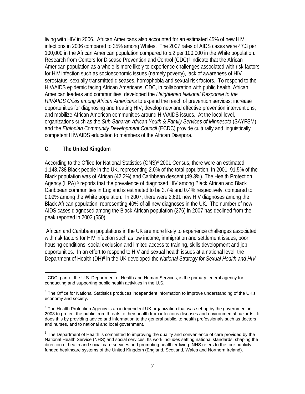living with HIV in 2006. African Americans also accounted for an estimated 45% of new HIV infections in 2006 compared to 35% among Whites. The 2007 rates of AIDS cases were 47.3 per 100,000 in the African American population compared to 5.2 per 100,000 in the White population. Research from Centers for Disease Prevention and Control (CDC)<sup>3</sup> indicate that the African American population as a whole is more likely to experience challenges associated with risk factors for HIV infection such as socioeconomic issues (namely poverty), lack of awareness of HIV serostatus, sexually transmitted diseases, homophobia and sexual risk factors. To respond to the HIV/AIDS epidemic facing African Americans, CDC, in collaboration with public health, African American leaders and communities, developed the *Heightened National Response to the HIV/AIDS Crisis among African Americans* to expand the reach of prevention services; increase opportunities for diagnosing and treating HIV; develop new and effective prevention interventions; and mobilize African American communities around HIV/AIDS issues. At the local level, organizations such as the *Sub-Saharan African Youth & Family Services of Minnesota* (SAYFSM) and the *Ethiopian Community Development Council* (ECDC) provide culturally and linguistically competent HIV/AIDS education to members of the African Diaspora.

## **C. The United Kingdom**

According to the Office for National Statistics (ONS)4 2001 Census, there were an estimated 1,148,738 Black people in the UK, representing 2.0% of the total population. In 2001, 91.5% of the Black population was of African (42.2%) and Caribbean descent (49.3%). The Health Protection Agency (HPA)<sup>5</sup> reports that the prevalence of diagnosed HIV among Black African and Black Caribbean communities in England is estimated to be 3.7% and 0.4% respectively, compared to 0.09% among the White population. In 2007, there were 2,691 new HIV diagnoses among the Black African population, representing 40% of all new diagnoses in the UK. The number of new AIDS cases diagnosed among the Black African population (276) in 2007 has declined from the peak reported in 2003 (550).

 African and Caribbean populations in the UK are more likely to experience challenges associated with risk factors for HIV infection such as low income, immigration and settlement issues, poor housing conditions, social exclusion and limited access to training, skills development and job opportunities. In an effort to respond to HIV and sexual health issues at a national level, the Department of Health (DH)6 in the UK developed the *National Strategy for Sexual Health and HIV*

<sup>&</sup>lt;u>.</u>  $3$  CDC, part of the U.S. Department of Health and Human Services, is the primary federal agency for conducting and supporting public health activities in the U.S.

<sup>&</sup>lt;sup>4</sup> The Office for National Statistics produces independent information to improve understanding of the UK's economy and society.

 $<sup>5</sup>$  The Health Protection Agency is an independent UK organization that was set up by the government in</sup> 2003 to protect the public from threats to their health from infectious diseases and environmental hazards. It does this by providing advice and information to the general public, to health professionals such as doctors and nurses, and to national and local government.

 $^6$  The Department of Health is committed to improving the quality and convenience of care provided by the National Health Service (NHS) and social services. Its work includes setting national standards, shaping the direction of health and social care services and promoting healthier living. NHS refers to the four publicly funded healthcare systems of the United Kingdom (England, Scotland, Wales and Northern Ireland).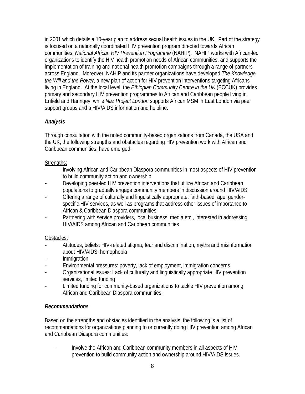in 2001 which details a 10-year plan to address sexual health issues in the UK. Part of the strategy is focused on a nationally coordinated HIV prevention program directed towards African communities, *National African HIV Prevention Programme* (NAHIP). NAHIP works with African-led organizations to identify the HIV health promotion needs of African communities, and supports the implementation of training and national health promotion campaigns through a range of partners across England. Moreover, NAHIP and its partner organizations have developed *The Knowledge, the Will and the Power*, a new plan of action for HIV prevention interventions targeting Africans living in England. At the local level, the *Ethiopian Community Centre in the UK* (ECCUK) provides primary and secondary HIV prevention programmes to African and Caribbean people living in Enfield and Haringey, while *Naz Project London* supports African MSM in East London via peer support groups and a HIV/AIDS information and helpline.

## *Analysis*

Through consultation with the noted community-based organizations from Canada, the USA and the UK, the following strengths and obstacles regarding HIV prevention work with African and Caribbean communities, have emerged:

## Strengths:

- Involving African and Caribbean Diaspora communities in most aspects of HIV prevention to build community action and ownership
- Developing peer-led HIV prevention interventions that utilize African and Caribbean populations to gradually engage community members in discussion around HIV/AIDS
- Offering a range of culturally and linguistically appropriate, faith-based, age, genderspecific HIV services, as well as programs that address other issues of importance to African & Caribbean Diaspora communities
- Partnering with service providers, local business, media etc., interested in addressing HIV/AIDS among African and Caribbean communities

## Obstacles:

- Attitudes, beliefs: HIV-related stigma, fear and discrimination, myths and misinformation about HIV/AIDS, homophobia
- Immigration
- Environmental pressures: poverty, lack of employment, immigration concerns
- Organizational issues: Lack of culturally and linguistically appropriate HIV prevention services, limited funding
- Limited funding for community-based organizations to tackle HIV prevention among African and Caribbean Diaspora communities.

## *Recommendations*

Based on the strengths and obstacles identified in the analysis, the following is a list of recommendations for organizations planning to or currently doing HIV prevention among African and Caribbean Diaspora communities:

- Involve the African and Caribbean community members in all aspects of HIV prevention to build community action and ownership around HIV/AIDS issues.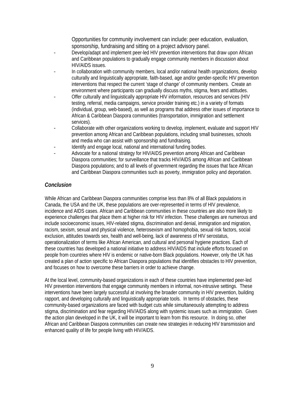Opportunities for community involvement can include: peer education, evaluation, sponsorship, fundraising and sitting on a project advisory panel.

- Develop/adapt and implement peer-led HIV prevention interventions that draw upon African and Caribbean populations to gradually engage community members in discussion about HIV/AIDS issues.
- In collaboration with community members, local and/or national health organizations, develop culturally and linguistically appropriate, faith-based, age and/or gender-specific HIV prevention interventions that respect the current 'stage of change' of community members. Create an environment where participants can gradually discuss myths, stigma, fears and attitudes.
- Offer culturally and linguistically appropriate HIV information, resources and services (HIV testing, referral, media campaigns, service provider training etc.) in a variety of formats (individual, group, web-based), as well as programs that address other issues of importance to African & Caribbean Diaspora communities (transportation, immigration and settlement services).
- Collaborate with other organizations working to develop, implement, evaluate and support HIV prevention among African and Caribbean populations, including small businesses, schools and media who can assist with sponsorship and fundraising.
- Identify and engage local, national and international funding bodies.
- Advocate for a national strategy for HIV/AIDS prevention among African and Caribbean Diaspora communities; for surveillance that tracks HIV/AIDS among African and Caribbean Diaspora populations; and to all levels of government regarding the issues that face African and Caribbean Diaspora communities such as poverty, immigration policy and deportation.

## *Conclusion*

While African and Caribbean Diaspora communities comprise less than 8% of all Black populations in Canada, the USA and the UK, these populations are over-represented in terms of HIV prevalence, incidence and AIDS cases. African and Caribbean communities in these countries are also more likely to experience challenges that place them at higher risk for HIV infection. These challenges are numerous and include socioeconomic issues, HIV-related stigma, discrimination and denial, immigration and migration, racism, sexism, sexual and physical violence, heterosexism and homophobia, sexual risk factors, social exclusion, attitudes towards sex, health and well-being, lack of awareness of HIV serostatus, operationalization of terms like African American, and cultural and personal hygiene practices. Each of these countries has developed a national initiative to address HIV/AIDS that include efforts focused on people from countries where HIV is endemic or native-born Black populations. However, only the UK has created a plan of action specific to African Diaspora populations that identifies obstacles to HIV prevention, and focuses on how to overcome these barriers in order to achieve change.

At the local level, community-based organizations in each of these countries have implemented peer-led HIV prevention interventions that engage community members in informal, non-intrusive settings. These interventions have been largely successful at involving the broader community in HIV prevention, building rapport, and developing culturally and linguistically appropriate tools. In terms of obstacles, these community-based organizations are faced with budget cuts while simultaneously attempting to address stigma, discrimination and fear regarding HIV/AIDS along with systemic issues such as immigration. Given the action plan developed in the UK, it will be important to learn from this resource. In doing so, other African and Caribbean Diaspora communities can create new strategies in reducing HIV transmission and enhanced quality of life for people living with HIV/AIDS.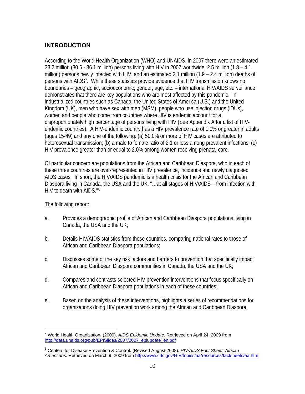## **INTRODUCTION**

According to the World Health Organization (WHO) and UNAIDS, in 2007 there were an estimated 33.2 million (30.6 - 36.1 million) persons living with HIV in 2007 worldwide, 2.5 million (1.8 – 4.1 million) persons newly infected with HIV, and an estimated 2.1 million (1.9 – 2.4 million) deaths of persons with AIDS7. While these statistics provide evidence that HIV transmission knows no boundaries – geographic, socioeconomic, gender, age, etc. – international HIV/AIDS surveillance demonstrates that there are key populations who are most affected by this pandemic. In industrialized countries such as Canada, the United States of America (U.S.) and the United Kingdom (UK), men who have sex with men (MSM), people who use injection drugs (IDUs), women and people who come from countries where HIV is endemic account for a disproportionately high percentage of persons living with HIV (See Appendix A for a list of HIVendemic countries). A HIV-endemic country has a HIV prevalence rate of 1.0% or greater in adults (ages 15-49) and any one of the following: (a) 50.0% or more of HIV cases are attributed to heterosexual transmission; (b) a male to female ratio of 2:1 or less among prevalent infections; (c) HIV prevalence greater than or equal to 2.0% among women receiving prenatal care.

Of particular concern are populations from the African and Caribbean Diaspora, who in each of these three countries are over-represented in HIV prevalence, incidence and newly diagnosed AIDS cases. In short, the HIV/AIDS pandemic is a health crisis for the African and Caribbean Diaspora living in Canada, the USA and the UK, "…at all stages of HIV/AIDS – from infection with HIV to death with AIDS."8

The following report:

- a. Provides a demographic profile of African and Caribbean Diaspora populations living in Canada, the USA and the UK;
- b. Details HIV/AIDS statistics from these countries, comparing national rates to those of African and Caribbean Diaspora populations;
- c. Discusses some of the key risk factors and barriers to prevention that specifically impact African and Caribbean Diaspora communities in Canada, the USA and the UK;
- d. Compares and contrasts selected HIV prevention interventions that focus specifically on African and Caribbean Diaspora populations in each of these countries;
- e. Based on the analysis of these interventions, highlights a series of recommendations for organizations doing HIV prevention work among the African and Caribbean Diaspora.

 $\overline{a}$ 7 World Health Organization. (2009). *AIDS Epidemic Update*. Retrieved on April 24, 2009 from http://data.unaids.org/pub/EPISlides/2007/2007\_epiupdate\_en.pdf

<sup>8</sup> Centers for Disease Prevention & Control. (Revised August 2008). *HIV/AIDS Fact Sheet: African Americans*. Retrieved on March 9, 2009 from http://www.cdc.gov/HIV/topics/aa/resources/factsheets/aa.htm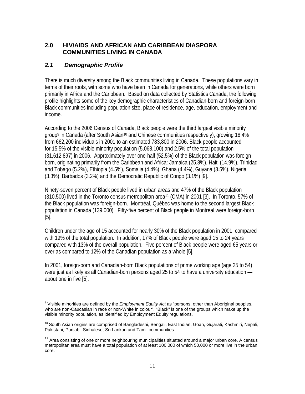## **2.0 HIV/AIDS AND AFRICAN AND CARIBBEAN DIASPORA COMMUNITIES LIVING IN CANADA**

## *2.1 Demographic Profile*

There is much diversity among the Black communities living in Canada. These populations vary in terms of their roots, with some who have been in Canada for generations, while others were born primarily in Africa and the Caribbean. Based on data collected by Statistics Canada, the following profile highlights some of the key demographic characteristics of Canadian-born and foreign-born Black communities including population size, place of residence, age, education, employment and income.

According to the 2006 Census of Canada, Black people were the third largest visible minority group9 in Canada (after South Asian10 and Chinese communities respectively), growing 18.4% from 662,200 individuals in 2001 to an estimated 783,800 in 2006. Black people accounted for 15.5% of the visible minority population (5,068,100) and 2.5% of the total population (31,612,897) in 2006. Approximately over one-half (52.5%) of the Black population was foreignborn, originating primarily from the Caribbean and Africa: Jamaica (25.8%), Haiti (14.9%), Trinidad and Tobago (5.2%), Ethiopia (4.5%), Somalia (4.4%), Ghana (4.4%), Guyana (3.5%), Nigeria (3.3%), Barbados (3.2%) and the Democratic Republic of Congo (3.1%) [9].

Ninety-seven percent of Black people lived in urban areas and 47% of the Black population (310,500) lived in the Toronto census metropolitan area11 (CMA) in 2001 [3]. In Toronto, 57% of the Black population was foreign-born. Montréal, Québec was home to the second largest Black population in Canada (139,000). Fifty-five percent of Black people in Montréal were foreign-born [5].

Children under the age of 15 accounted for nearly 30% of the Black population in 2001, compared with 19% of the total population. In addition, 17% of Black people were aged 15 to 24 years compared with 13% of the overall population. Five percent of Black people were aged 65 years or over as compared to 12% of the Canadian population as a whole [5].

In 2001, foreign-born and Canadian-born Black populations of prime working age (age 25 to 54) were just as likely as all Canadian-born persons aged 25 to 54 to have a university education about one in five [5].

 $\overline{a}$ <sup>9</sup> Visible minorities are defined by the *Employment Equity Act* as "persons, other than Aboriginal peoples, who are non-Caucasian in race or non-White in colour". "Black" is one of the groups which make up the visible minority population, as identified by Employment Equity regulations.

 $10$  South Asian origins are comprised of Bangladeshi, Bengali, East Indian, Goan, Gujarati, Kashmiri, Nepali, Pakistani, Punjabi, Sinhalese, Sri Lankan and Tamil communities.

 $11$  Area consisting of one or more neighbouring municipalities situated around a major urban core. A census metropolitan area must have a total population of at least 100,000 of which 50,000 or more live in the urban core.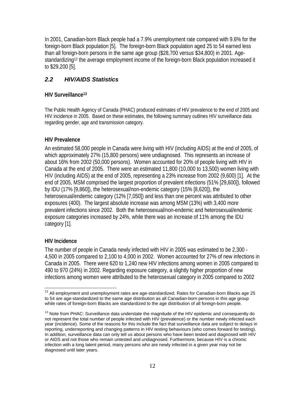In 2001, Canadian-born Black people had a 7.9% unemployment rate compared with 9.6% for the foreign-born Black population [5]. The foreign-born Black population aged 25 to 54 earned less than all foreign-born persons in the same age group (\$28,700 versus \$34,800) in 2001. Agestandardizing<sup>12</sup> the average employment income of the foreign-born Black population increased it to \$29,200 [5].

## *2.2 HIV/AIDS Statistics*

## **HIV Surveillance13**

The Public Health Agency of Canada (PHAC) produced estimates of HIV prevalence to the end of 2005 and HIV incidence in 2005. Based on these estimates, the following summary outlines HIV surveillance data regarding gender, age and transmission category.

## **HIV Prevalence**

An estimated 58,000 people in Canada were living with HIV (including AIDS) at the end of 2005, of which approximately 27% (15,800 persons) were undiagnosed. This represents an increase of about 16% from 2002 (50,000 persons). Women accounted for 20% of people living with HIV in Canada at the end of 2005. There were an estimated 11,800 (10,000 to 13,500) women living with HIV (including AIDS) at the end of 2005, representing a 23% increase from 2002 (9,600) [1]. At the end of 2005, MSM comprised the largest proportion of prevalent infections (51% [29,600]), followed by IDU (17% [9,860]), the heterosexual/non-endemic category (15% [8,620]), the heterosexual/endemic category (12% [7,050]) and less than one percent was attributed to other exposures (400). The largest absolute increase was among MSM (13%) with 3,400 more prevalent infections since 2002. Both the heterosexual/non-endemic and heterosexual/endemic exposure categories increased by 24%, while there was an increase of 11% among the IDU category [1].

## **HIV Incidence**

The number of people in Canada newly infected with HIV in 2005 was estimated to be 2,300 - 4,500 in 2005 compared to 2,100 to 4,000 in 2002. Women accounted for 27% of new infections in Canada in 2005. There were 620 to 1,240 new HIV infections among women in 2005 compared to 490 to 970 (24%) in 2002. Regarding exposure category, a slightly higher proportion of new infections among women were attributed to the heterosexual category in 2005 compared to 2002

 $\overline{1}$  $12$  All employment and unemployment rates are age-standardized. Rates for Canadian-born Blacks age 25 to 54 are age-standardized to the same age distribution as all Canadian-born persons in this age group while rates of foreign-born Blacks are standardized to the age distribution of all foreign-born people.

 $13$  Note from PHAC: Surveillance data understate the magnitude of the HIV epidemic and consequently do not represent the total number of people infected with HIV (prevalence) or the number newly infected each year (incidence). Some of the reasons for this include the fact that surveillance data are subject to delays in reporting, underreporting and changing patterns in HIV testing behaviours (who comes forward for testing). In addition, surveillance data can only tell us about persons who have been tested and diagnosed with HIV or AIDS and not those who remain untested and undiagnosed. Furthermore, because HIV is a chronic infection with a long latent period, many persons who are newly infected in a given year may not be diagnosed until later years.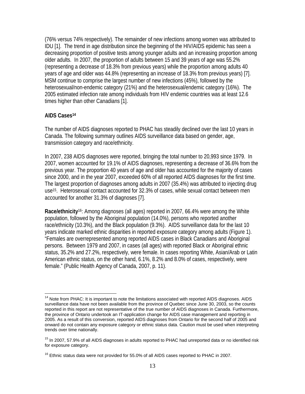(76% versus 74% respectively). The remainder of new infections among women was attributed to IDU [1]. The trend in age distribution since the beginning of the HIV/AIDS epidemic has seen a decreasing proportion of positive tests among younger adults and an increasing proportion among older adults. In 2007, the proportion of adults between 15 and 39 years of age was 55.2% (representing a decrease of 18.3% from previous years) while the proportion among adults 40 years of age and older was 44.8% (representing an increase of 18.3% from previous years) [7]. MSM continue to comprise the largest number of new infections (45%), followed by the heterosexual/non-endemic category (21%) and the heterosexual/endemic category (16%). The 2005 estimated infection rate among individuals from HIV endemic countries was at least 12.6 times higher than other Canadians [1].

### **AIDS Cases14**

1

The number of AIDS diagnoses reported to PHAC has steadily declined over the last 10 years in Canada. The following summary outlines AIDS surveillance data based on gender, age, transmission category and race/ethnicity.

In 2007, 238 AIDS diagnoses were reported, bringing the total number to 20,993 since 1979. In 2007, women accounted for 19.1% of AIDS diagnoses, representing a decrease of 36.6% from the previous year. The proportion 40 years of age and older has accounted for the majority of cases since 2000, and in the year 2007, exceeded 60% of all reported AIDS diagnoses for the first time. The largest proportion of diagnoses among adults in 2007 (35.4%) was attributed to injecting drug use15. Heterosexual contact accounted for 32.3% of cases, while sexual contact between men accounted for another 31.3% of diagnoses [7].

**Race/ethnicity**16: Among diagnoses (all ages) reported in 2007, 66.4% were among the White population, followed by the Aboriginal population (14.0%), persons who reported another race/ethnicity (10.3%), and the Black population (9.3%). AIDS surveillance data for the last 10 years indicate marked ethnic disparities in reported exposure category among adults (Figure 1). "Females are overrepresented among reported AIDS cases in Black Canadians and Aboriginal persons. Between 1979 and 2007, in cases (all ages) with reported Black or Aboriginal ethnic status, 35.2% and 27.2%, respectively, were female. In cases reporting White, Asian/Arab or Latin American ethnic status, on the other hand, 6.1%, 8.2% and 8.0% of cases, respectively, were female." (Public Health Agency of Canada, 2007, p. 11).

<sup>&</sup>lt;sup>14</sup> Note from PHAC: It is important to note the limitations associated with reported AIDS diagnoses. AIDS surveillance data have not been available from the province of Quebec since June 30, 2003, so the counts reported in this report are not representative of the true number of AIDS diagnoses in Canada. Furthermore, the province of Ontario undertook an IT-application change for AIDS case management and reporting in 2005. As a result of this conversion, reported AIDS diagnoses from Ontario for the second half of 2005 and onward do not contain any exposure category or ethnic status data. Caution must be used when interpreting trends over time nationally.

<sup>&</sup>lt;sup>15</sup> In 2007, 57.9% of all AIDS diagnoses in adults reported to PHAC had unreported data or no identified risk for exposure category.

 $16$  Ethnic status data were not provided for 55.0% of all AIDS cases reported to PHAC in 2007.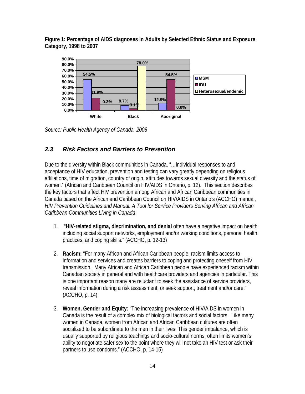**Figure 1: Percentage of AIDS diagnoses in Adults by Selected Ethnic Status and Exposure Category, 1998 to 2007** 



*Source: Public Health Agency of Canada, 2008* 

## *2.3 Risk Factors and Barriers to Prevention*

Due to the diversity within Black communities in Canada, "…individual responses to and acceptance of HIV education, prevention and testing can vary greatly depending on religious affiliations, time of migration, country of origin, attitudes towards sexual diversity and the status of women." (African and Caribbean Council on HIV/AIDS in Ontario, p. 12). This section describes the key factors that affect HIV prevention among African and African Caribbean communities in Canada based on the African and Caribbean Council on HIV/AIDS in Ontario's (ACCHO) manual, *HIV Prevention Guidelines and Manual: A Tool for Service Providers Serving African and African Caribbean Communities Living in Canada*:

- 1. "**HIV-related stigma, discrimination, and denial** often have a negative impact on health including social support networks, employment and/or working conditions, personal health practices, and coping skills." (ACCHO, p. 12-13)
- 2. **Racism:** "For many African and African Caribbean people, racism limits access to information and services and creates barriers to coping and protecting oneself from HIV transmission. Many African and African Caribbean people have experienced racism within Canadian society in general and with healthcare providers and agencies in particular. This is one important reason many are reluctant to seek the assistance of service providers, reveal information during a risk assessment, or seek support, treatment and/or care." (ACCHO, p. 14)
- 3. **Women, Gender and Equity:** "The increasing prevalence of HIV/AIDS in women in Canada is the result of a complex mix of biological factors and social factors. Like many women in Canada, women from African and African Caribbean cultures are often socialized to be subordinate to the men in their lives. This gender imbalance, which is usually supported by religious teachings and socio-cultural norms, often limits women's ability to negotiate safer sex to the point where they will not take an HIV test or ask their partners to use condoms." (ACCHO, p. 14-15)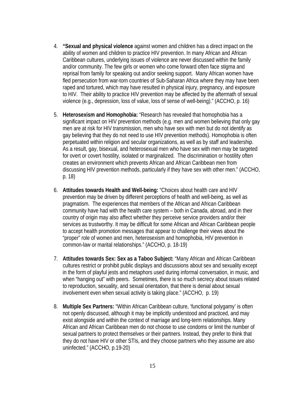- 4. **"Sexual and physical violence** against women and children has a direct impact on the ability of women and children to practice HIV prevention. In many African and African Caribbean cultures, underlying issues of violence are never discussed within the family and/or community. The few girls or women who come forward often face stigma and reprisal from family for speaking out and/or seeking support. Many African women have fled persecution from war-torn countries of Sub-Saharan Africa where they may have been raped and tortured, which may have resulted in physical injury, pregnancy, and exposure to HIV. Their ability to practice HIV prevention may be affected by the aftermath of sexual violence (e.g., depression, loss of value, loss of sense of well-being)." (ACCHO, p. 16)
- 5. **Heterosexism and Homophobia:** "Research has revealed that homophobia has a significant impact on HIV prevention methods (e.g. men and women believing that only gay men are at risk for HIV transmission, men who have sex with men but do not identify as gay believing that they do not need to use HIV prevention methods). Homophobia is often perpetuated within religion and secular organizations, as well as by staff and leadership. As a result, gay, bisexual, and heterosexual men who have sex with men may be targeted for overt or covert hostility, isolated or marginalized. The discrimination or hostility often creates an environment which prevents African and African Caribbean men from discussing HIV prevention methods, particularly if they have sex with other men." (ACCHO, p. 18)
- 6. **Attitudes towards Health and Well-being:** "Choices about health care and HIV prevention may be driven by different perceptions of health and well-being, as well as pragmatism. The experiences that members of the African and African Caribbean community have had with the health care system – both in Canada, abroad, and in their country of origin may also affect whether they perceive service providers and/or their services as trustworthy. It may be difficult for some African and African Caribbean people to accept health promotion messages that appear to challenge their views about the "proper" role of women and men, heterosexism and homophobia, HIV prevention in common-law or marital relationships." (ACCHO, p. 18-19)
- 7. **Attitudes towards Sex: Sex as a Taboo Subject:** "Many African and African Caribbean cultures restrict or prohibit public displays and discussions about sex and sexuality except in the form of playful jests and metaphors used during informal conversation, in music, and when "hanging out" with peers. Sometimes, there is so much secrecy about issues related to reproduction, sexuality, and sexual orientation, that there is denial about sexual involvement even when sexual activity is taking place." (ACCHO, p. 19)
- 8. **Multiple Sex Partners:** "Within African Caribbean culture, 'functional polygamy' is often not openly discussed, although it may be implicitly understood and practiced, and may exist alongside and within the context of marriage and long-term relationships. Many African and African Caribbean men do not choose to use condoms or limit the number of sexual partners to protect themselves or their partners. Instead, they prefer to think that they do not have HIV or other STIs, and they choose partners who they assume are also uninfected." (ACCHO, p.19-20)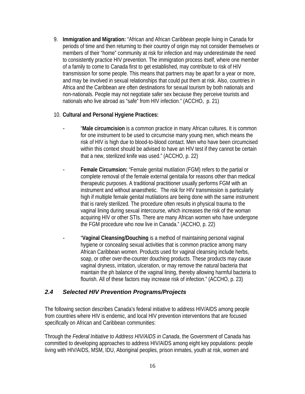9. **Immigration and Migration:** "African and African Caribbean people living in Canada for periods of time and then returning to their country of origin may not consider themselves or members of their "home" community at risk for infection and may underestimate the need to consistently practice HIV prevention. The immigration process itself, where one member of a family to come to Canada first to get established, may contribute to risk of HIV transmission for some people. This means that partners may be apart for a year or more, and may be involved in sexual relationships that could put them at risk. Also, countries in Africa and the Caribbean are often destinations for sexual tourism by both nationals and non-nationals. People may not negotiate safer sex because they perceive tourists and nationals who live abroad as "safe" from HIV infection." (ACCHO, p. 21)

## 10. **Cultural and Personal Hygiene Practices:**

- "**Male circumcision** is a common practice in many African cultures. It is common for one instrument to be used to circumcise many young men, which means the risk of HIV is high due to blood-to-blood contact. Men who have been circumcised within this context should be advised to have an HIV test if they cannot be certain that a new, sterilized knife was used." (ACCHO, p. 22)
- **Female Circumsion:** "Female genital mutilation (FGM) refers to the partial or complete removal of the female external genitalia for reasons other than medical therapeutic purposes. A traditional practitioner usually performs FGM with an instrument and without anaesthetic. The risk for HIV transmission is particularly high if multiple female genital mutilations are being done with the same instrument that is rarely sterilized. The procedure often results in physical trauma to the vaginal lining during sexual intercourse, which increases the risk of the woman acquiring HIV or other STIs. There are many African women who have undergone the FGM procedure who now live in Canada." (ACCHO, p. 22)
	- "**Vaginal Cleansing/Douching** is a method of maintaining personal vaginal hygiene or concealing sexual activities that is common practice among many African Caribbean women. Products used for vaginal cleansing include herbs, soap, or other over-the-counter douching products. These products may cause vaginal dryness, irritation, ulceration, or may remove the natural bacteria that maintain the ph balance of the vaginal lining, thereby allowing harmful bacteria to flourish. All of these factors may increase risk of infection." (ACCHO, p. 23)

## *2.4 Selected HIV Prevention Programs/Projects*

The following section describes Canada's federal initiative to address HIV/AIDS among people from countries where HIV is endemic, and local HIV prevention interventions that are focused specifically on African and Caribbean communities:

Through the *Federal Initiative to Address HIV/AIDS in Canada*, the Government of Canada has committed to developing approaches to address HIV/AIDS among eight key populations: people living with HIV/AIDS, MSM, IDU, Aboriginal peoples, prison inmates, youth at risk, women and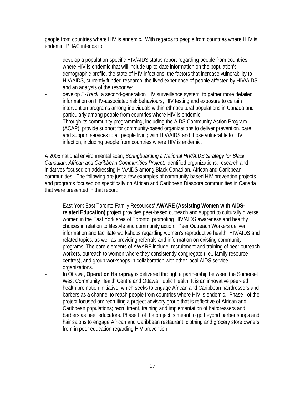people from countries where HIV is endemic. With regards to people from countries where HIIV is endemic, PHAC intends to:

- develop a population-specific HIV/AIDS status report regarding people from countries where HIV is endemic that will include up-to-date information on the population's demographic profile, the state of HIV infections, the factors that increase vulnerability to HIV/AIDS, currently funded research, the lived experience of people affected by HIV/AIDS and an analysis of the response;
- develop *E-Track*, a second-generation HIV surveillance system, to gather more detailed information on HIV-associated risk behaviours, HIV testing and exposure to certain intervention programs among individuals within ethnocultural populations in Canada and particularly among people from countries where HIV is endemic;
- Through its community programming, including the AIDS Community Action Program (ACAP), provide support for community-based organizations to deliver prevention, care and support services to all people living with HIV/AIDS and those vulnerable to HIV infection, including people from countries where HIV is endemic.

A 2005 national environmental scan, *Springboarding a National HIV/AIDS Strategy for Black Canadian, African and Caribbean Communities Project*, identified organizations, research and initiatives focused on addressing HIV/AIDS among Black Canadian, African and Caribbean communities. The following are just a few examples of community-based HIV prevention projects and programs focused on specifically on African and Caribbean Diaspora communities in Canada that were presented in that report:

- East York East Toronto Family Resources' **AWARE (Assisting Women with AIDSrelated Education)** project provides peer-based outreach and support to culturally diverse women in the East York area of Toronto, promoting HIV/AIDS awareness and healthy choices in relation to lifestyle and community action. Peer Outreach Workers deliver information and facilitate workshops regarding women's reproductive health, HIV/AIDS and related topics, as well as providing referrals and information on existing community programs. The core elements of AWARE include: recruitment and training of peer outreach workers, outreach to women where they consistently congregate (i.e., family resource centres), and group workshops in collaboration with other local AIDS service organizations.
- In Ottawa, **Operation Hairspray** is delivered through a partnership between the Somerset West Community Health Centre and Ottawa Public Health. It is an innovative peer-led health promotion initiative, which seeks to engage African and Caribbean hairdressers and barbers as a channel to reach people from countries where HIV is endemic. Phase I of the project focused on: recruiting a project advisory group that is reflective of African and Caribbean populations; recruitment, training and implementation of hairdressers and barbers as peer educators. Phase II of the project is meant to go beyond barber shops and hair salons to engage African and Caribbean restaurant, clothing and grocery store owners from in peer education regarding HIV prevention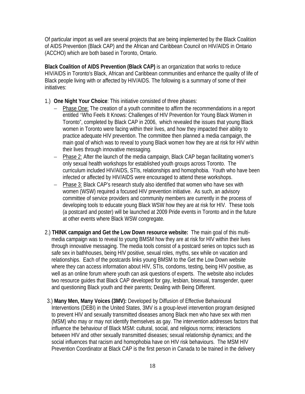Of particular import as well are several projects that are being implemented by the Black Coalition of AIDS Prevention (Black CAP) and the African and Caribbean Council on HIV/AIDS in Ontario (ACCHO) which are both based in Toronto, Ontario.

**Black Coalition of AIDS Prevention (Black CAP)** is an organization that works to reduce HIV/AIDS in Toronto's Black, African and Caribbean communities and enhance the quality of life of Black people living with or affected by HIV/AIDS. The following is a summary of some of their initiatives:

- 1.) **One Night Your Choice**: This initiative consisted of three phases:
	- − Phase One: The creation of a youth committee to affirm the recommendations in a report entitled 'Who Feels It Knows: Challenges of HIV Prevention for Young Black Women in Toronto", completed by Black CAP in 2006, which revealed the issues that young Black women in Toronto were facing within their lives, and how they impacted their ability to practice adequate HIV prevention. The committee then planned a media campaign, the main goal of which was to reveal to young Black women how they are at risk for HIV within their lives through innovative messaging.
	- − Phase 2: After the launch of the media campaign, Black CAP began facilitating women's only sexual health workshops for established youth groups across Toronto. The curriculum included HIV/AIDS, STIs, relationships and homophobia. Youth who have been infected or affected by HIV/AIDS were encouraged to attend these workshops.
	- − Phase 3: Black CAP's research study also identified that women who have sex with women (WSW) required a focused HIV prevention initiative. As such, an advisory committee of service providers and community members are currently in the process of developing tools to educate young Black WSW how they are at risk for HIV. These tools (a postcard and poster) will be launched at 2009 Pride events in Toronto and in the future at other events where Black WSW congregate.
- 2.) **THINK campaign and Get the Low Down resource website:** The main goal of this multimedia campaign was to reveal to young BMSM how they are at risk for HIV within their lives through innovative messaging. The media tools consist of a postcard series on topics such as safe sex in bathhouses, being HIV positive, sexual roles, myths, sex while on vacation and relationships. Each of the postcards links young BMSM to the Get the Low Down website where they can access information about HIV, STIs, condoms, testing, being HIV positive, as well as an online forum where youth can ask questions of experts. The website also includes two resource guides that Black CAP developed for gay, lesbian, bisexual, transgender, queer and questioning Black youth and their parents; Dealing with Being Different.
- 3.) **Many Men, Many Voices (3MV):** Developed by Diffusion of Effective Behavioural Interventions (DEBI) in the United States, 3MV is a group-level intervention program designed to prevent HIV and sexually transmitted diseases among Black men who have sex with men (MSM) who may or may not identify themselves as gay. The intervention addresses factors that influence the behaviour of Black MSM: cultural, social, and religious norms; interactions between HIV and other sexually transmitted diseases; sexual relationship dynamics; and the social influences that racism and homophobia have on HIV risk behaviours. The MSM HIV Prevention Coordinator at Black CAP is the first person in Canada to be trained in the delivery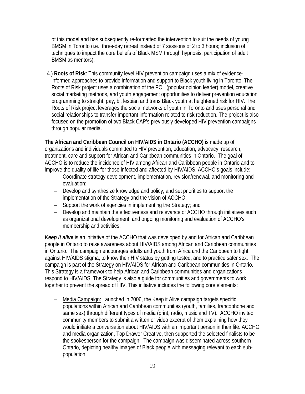of this model and has subsequently re-formatted the intervention to suit the needs of young BMSM in Toronto (i.e., three-day retreat instead of 7 sessions of 2 to 3 hours; inclusion of techniques to impact the core beliefs of Black MSM through hypnosis; participation of adult BMSM as mentors).

4.) **Roots of Risk**: This community level HIV prevention campaign uses a mix of evidenceinformed approaches to provide information and support to Black youth living in Toronto. The Roots of Risk project uses a combination of the POL (popular opinion leader) model, creative social marketing methods, and youth engagement opportunities to deliver prevention education programming to straight, gay, bi, lesbian and trans Black youth at heightened risk for HIV. The Roots of Risk project leverages the social networks of youth in Toronto and uses personal and social relationships to transfer important information related to risk reduction. The project is also focused on the promotion of two Black CAP's previously developed HIV prevention campaigns through popular media.

**The African and Caribbean Council on HIV/AIDS in Ontario (ACCHO)** is made up of organizations and individuals committed to HIV prevention, education, advocacy, research, treatment, care and support for African and Caribbean communities in Ontario. The goal of ACCHO is to reduce the incidence of HIV among African and Caribbean people in Ontario and to improve the quality of life for those infected and affected by HIV/AIDS. ACCHO's goals include:

- − Coordinate strategy development, implementation, revision/renewal, and monitoring and evaluation;
- − Develop and synthesize knowledge and policy, and set priorities to support the implementation of the Strategy and the vision of ACCHO;
- − Support the work of agencies in implementing the Strategy; and
- − Develop and maintain the effectiveness and relevance of ACCHO through initiatives such as organizational development, and ongoing monitoring and evaluation of ACCHO's membership and activities.

*Keep it alive* is an initiative of the ACCHO that was developed by and for African and Caribbean people in Ontario to raise awareness about HIV/AIDS among African and Caribbean communities in Ontario. The campaign encourages adults and youth from Africa and the Caribbean to fight against HIV/AIDS stigma, to know their HIV status by getting tested, and to practice safer sex. The campaign is part of the Strategy on HIV/AIDS for African and Caribbean communities in Ontario. This Strategy is a framework to help African and Caribbean communities and organizations respond to HIV/AIDS. The Strategy is also a guide for communities and governments to work together to prevent the spread of HIV. This initiative includes the following core elements:

− Media Campaign: Launched in 2006, the Keep it Alive campaign targets specific populations within African and Caribbean communities (youth, families, francophone and same sex) through different types of media (print, radio, music and TV). ACCHO invited community members to submit a written or video excerpt of them explaining how they would initiate a conversation about HIV/AIDS with an important person in their life. ACCHO and media organization, Top Drawer Creative, then supported the selected finalists to be the spokesperson for the campaign. The campaign was disseminated across southern Ontario, depicting healthy images of Black people with messaging relevant to each subpopulation.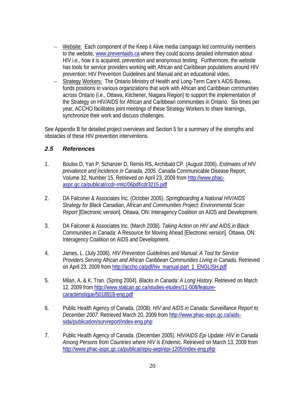- − Website: Each component of the Keep it Alive media campaign led community members to the website, www.preventaids.ca where they could access detailed information about HIV i.e., how it is acquired, prevention and anonymous testing. Furthermore, the website has tools for service providers working with African and Caribbean populations around HIV prevention: HIV Prevention Guidelines and Manual and an educational video.
- − Strategy Workers: The Ontario Ministry of Health and Long-Term Care's AIDS Bureau, funds positions in various organizations that work with African and Caribbean communities across Ontario (i.e., Ottawa, Kitchener, Niagara Region) to support the implementation of the Strategy on HIV/AIDS for African and Caribbean communities in Ontario. Six times per year, ACCHO facilitates joint meetings of these Strategy Workers to share learnings, synchronize their work and discuss challenges.

See Appendix B for detailed project overviews and Section 5 for a summary of the strengths and obstacles of these HIV prevention interventions.

## *2.5 References*

- 1. Boulos D, Yan P, Schanzer D, Remis RS, Archibald CP. (August 2006). *Estimates of HIV prevalence and incidence in Canada, 2005*. Canada Communicable Disease Report, Volume 32, Number 15. Retrieved on April 23, 2009 from http://www.phacaspc.gc.ca/publicat/ccdr-rmtc/06pdf/cdr3215.pdf
- 2. DA Falconer & Associates Inc. (October 2005). *Springboarding a National HIV/AIDS Strategy for Black Canadian, African and Communities Project: Environmental Scan Report* [Electronic version]. Ottawa, ON: Interagency Coalition on AIDS and Development.
- 3. DA Falconer & Associates Inc. (March 2008). *Taking Action on HIV and AIDS in Black Communities in Canada*: A Resource for Moving Ahead [Electronic version]. Ottawa, ON: Interagency Coalition on AIDS and Development.
- 4. James, L. (July 2006). *HIV Prevention Guidelines and Manual: A Tool for Service Providers Serving African and African Caribbean Communities Living in Canada*. Retrieved on April 23, 2009 from http://accho.ca/pdf/hiv\_manual-part\_1\_ENGLISH.pdf
- 5. Milan, A. & K. Tran. (Spring 2004). *Blacks in Canada: A Long History.* Retrieved on March 12, 2009 from http://www.statcan.gc.ca/studies-etudes/11-008/featurecaracteristique/5018918-eng.pdf
- 6. Public Health Agency of Canada. (2008). *HIV and AIDS in Canada: Surveillance Report to December 2007*. Retrieved March 20, 2009 from http://www.phac-aspc.gc.ca/aidssida/publication/survreport/index-eng.php
- 7. Public Health Agency of Canada. (December 2005). *HIV/AIDS Epi Update: HIV in Canada Among Persons from Countries where HIV is Endemic*. Retrieved on March 13, 2009 from http://www.phac-aspc.gc.ca/publicat/epiu-aepi/epi-1205/index-eng.php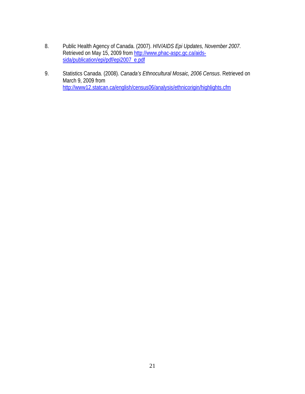- 8. Public Health Agency of Canada. (2007). *HIV/AIDS Epi Updates, November 2007*. Retrieved on May 15, 2009 from http://www.phac-aspc.gc.ca/aidssida/publication/epi/pdf/epi2007\_e.pdf
- 9. Statistics Canada. (2008). *Canada's Ethnocultural Mosaic, 2006 Census*. Retrieved on March 9, 2009 from http://www12.statcan.ca/english/census06/analysis/ethnicorigin/highlights.cfm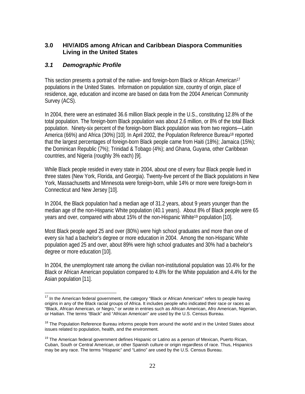## **3.0 HIV/AIDS among African and Caribbean Diaspora Communities Living in the United States**

## *3.1 Demographic Profile*

This section presents a portrait of the native- and foreign-born Black or African American<sup>17</sup> populations in the United States. Information on population size, country of origin, place of residence, age, education and income are based on data from the 2004 American Community Survey (ACS).

In 2004, there were an estimated 36.6 million Black people in the U.S., constituting 12.8% of the total population. The foreign-born Black population was about 2.6 million, or 8% of the total Black population.Ninety-six percent of the foreign-born Black population was from two regions—Latin America (66%) and Africa (30%) [10]. In April 2002, the Population Reference Bureau<sup>18</sup> reported that the largest percentages of foreign-born Black people came from Haiti (18%); Jamaica (15%); the Dominican Republic (7%); Trinidad & Tobago (4%); and Ghana, Guyana, other Caribbean countries, and Nigeria (roughly 3% each) [9].

While Black people resided in every state in 2004, about one of every four Black people lived in three states (New York, Florida, and Georgia). Twenty-five percent of the Black populations in New York, Massachusetts and Minnesota were foreign-born, while 14% or more were foreign-born in Connecticut and New Jersey [10].

In 2004, the Black population had a median age of 31.2 years, about 9 years younger than the median age of the non-Hispanic White population (40.1 years). About 8% of Black people were 65 years and over, compared with about 15% of the non-Hispanic White19 population [10].

Most Black people aged 25 and over (80%) were high school graduates and more than one of every six had a bachelor's degree or more education in 2004. Among the non-Hispanic White population aged 25 and over, about 89% were high school graduates and 30% had a bachelor's degree or more education [10].

In 2004, the unemployment rate among the civilian non-institutional population was 10.4% for the Black or African American population compared to 4.8% for the White population and 4.4% for the Asian population [11].

<sup>1</sup>  $17$  In the American federal government, the category "Black or African American" refers to people having origins in any of the Black racial groups of Africa. It includes people who indicated their race or races as "Black, African American, or Negro," or wrote in entries such as African American, Afro American, Nigerian, or Haitian. The terms "Black" and "African American" are used by the U.S. Census Bureau.

<sup>&</sup>lt;sup>18</sup> The Population Reference Bureau informs people from around the world and in the United States about issues related to population, health, and the environment.

<sup>&</sup>lt;sup>19</sup> The American federal government defines Hispanic or Latino as a person of Mexican, Puerto Rican, Cuban, South or Central American, or other Spanish culture or origin regardless of race. Thus, Hispanics may be any race. The terms "Hispanic" and "Latino" are used by the U.S. Census Bureau.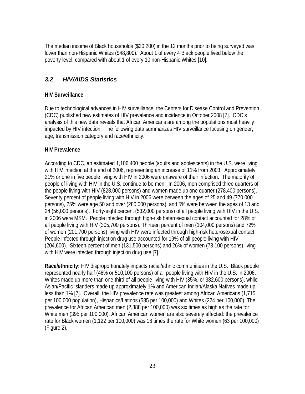The median income of Black households (\$30,200) in the 12 months prior to being surveyed was lower than non-Hispanic Whites (\$48,800). About 1 of every 4 Black people lived below the poverty level, compared with about 1 of every 10 non-Hispanic Whites [10].

## *3.2 HIV/AIDS Statistics*

## **HIV Surveillance**

Due to technological advances in HIV surveillance, the Centers for Disease Control and Prevention (CDC) published new estimates of HIV prevalence and incidence in October 2008 [7]. CDC's analysis of this new data reveals that African Americans are among the populations most heavily impacted by HIV infection. The following data summarizes HIV surveillance focusing on gender, age, transmission category and race/ethnicity.

## **HIV Prevalence**

According to CDC, an estimated 1,106,400 people (adults and adolescents) in the U.S. were living with HIV infection at the end of 2006, representing an increase of 11% from 2003. Approximately 21% or one in five people living with HIV in 2006 were unaware of their infection. The majority of people of living with HIV in the U.S. continue to be men. In 2006, men comprised three quarters of the people living with HIV (828,000 persons) and women made up one quarter (278,400 persons). Seventy percent of people living with HIV in 2006 were between the ages of 25 and 49 (770,000 persons), 25% were age 50 and over (280,000 persons), and 5% were between the ages of 13 and 24 (56,000 persons). Forty-eight percent (532,000 persons) of all people living with HIV in the U.S. in 2006 were MSM. People infected through high-risk heterosexual contact accounted for 28% of all people living with HIV (305,700 persons). Thirteen percent of men (104,000 persons) and 72% of women (201,700 persons) living with HIV were infected through high-risk heterosexual contact. People infected through injection drug use accounted for 19% of all people living with HIV (204,600). Sixteen percent of men (131,500 persons) and 26% of women (73,100 persons) living with HIV were infected through injection drug use [7].

**Race/ethnicity:** HIV disproportionately impacts racial/ethnic communities in the U.S. Black people represented nearly half (46% or 510,100 persons) of all people living with HIV in the U.S. in 2006. Whites made up more than one-third of all people living with HIV (35%, or 382,600 persons), while Asian/Pacific Islanders made up approximately 1% and American Indian/Alaska Natives made up less than 1% [7]. Overall, the HIV prevalence rate was greatest among African Americans (1,715 per 100,000 population), Hispanics/Latinos (585 per 100,000) and Whites (224 per 100,000). The prevalence for African American men (2,388 per 100,000) was six times as high as the rate for White men (395 per 100,000). African American women are also severely affected: the prevalence rate for Black women (1,122 per 100,000) was 18 times the rate for White women (63 per 100,000) (Figure 2).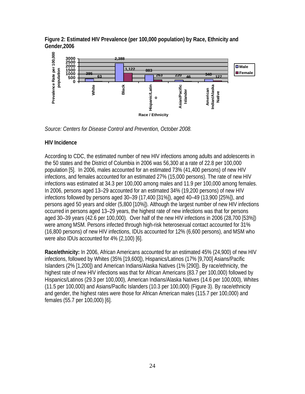**Figure 2: Estimated HIV Prevalence (per 100,000 population) by Race, Ethnicity and Gender,2006** 



*Source: Centers for Disease Control and Prevention, October 2008.*

## **HIV Incidence**

According to CDC, the estimated number of new HIV infections among adults and adolescents in the 50 states and the District of Columbia in 2006 was 56,300 at a rate of 22.8 per 100,000 population [5].In 2006, males accounted for an estimated 73% (41,400 persons) of new HIV infections, and females accounted for an estimated 27% (15,000 persons). The rate of new HIV infections was estimated at 34.3 per 100,000 among males and 11.9 per 100,000 among females. In 2006, persons aged 13–29 accounted for an estimated 34% (19,200 persons) of new HIV infections followed by persons aged 30–39 (17,400 [31%]), aged 40–49 (13,900 [25%]), and persons aged 50 years and older (5,800 [10%]). Although the largest number of new HIV infections occurred in persons aged 13–29 years, the highest rate of new infections was that for persons aged 30–39 years (42.6 per 100,000). Over half of the new HIV infections in 2006 (28,700 [53%]) were among MSM. Persons infected through high-risk heterosexual contact accounted for 31% (16,800 persons) of new HIV infections, IDUs accounted for 12% (6,600 persons), and MSM who were also IDUs accounted for 4% (2,100) [6].

**Race/ethnicity:** In 2006, African Americans accounted for an estimated 45% (24,900) of new HIV infections, followed by Whites (35% [19,600]), Hispanics/Latinos (17% [9,700] Asians/Pacific Islanders (2% [1,200]) and American Indians/Alaska Natives (1% [290]). By race/ethnicity, the highest rate of new HIV infections was that for African Americans (83.7 per 100,000) followed by Hispanics/Latinos (29.3 per 100,000), American Indians/Alaska Natives (14.6 per 100,000), Whites (11.5 per 100,000) and Asians/Pacific Islanders (10.3 per 100,000) (Figure 3). By race/ethnicity and gender, the highest rates were those for African American males (115.7 per 100,000) and females (55.7 per 100,000) [6].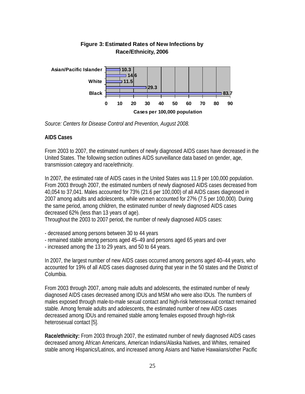

## **Figure 3: Estimated Rates of New Infections by Race/Ethnicity, 2006**

*Source: Centers for Disease Control and Prevention, August 2008.* 

## **AIDS Cases**

From 2003 to 2007, the estimated numbers of newly diagnosed AIDS cases have decreased in the United States. The following section outlines AIDS surveillance data based on gender, age, transmission category and race/ethnicity.

In 2007, the estimated rate of AIDS cases in the United States was 11.9 per 100,000 population. From 2003 through 2007, the estimated numbers of newly diagnosed AIDS cases decreased from 40,054 to 37,041. Males accounted for 73% (21.6 per 100,000) of all AIDS cases diagnosed in 2007 among adults and adolescents, while women accounted for 27% (7.5 per 100,000). During the same period, among children, the estimated number of newly diagnosed AIDS cases decreased 62% (less than 13 years of age).

Throughout the 2003 to 2007 period, the number of newly diagnosed AIDS cases:

- decreased among persons between 30 to 44 years
- remained stable among persons aged 45–49 and persons aged 65 years and over
- increased among the 13 to 29 years, and 50 to 64 years.

In 2007, the largest number of new AIDS cases occurred among persons aged 40–44 years, who accounted for 19% of all AIDS cases diagnosed during that year in the 50 states and the District of Columbia.

From 2003 through 2007, among male adults and adolescents, the estimated number of newly diagnosed AIDS cases decreased among IDUs and MSM who were also IDUs. The numbers of males exposed through male-to-male sexual contact and high-risk heterosexual contact remained stable. Among female adults and adolescents, the estimated number of new AIDS cases decreased among IDUs and remained stable among females exposed through high-risk heterosexual contact [5].

**Race/ethnicity:** From 2003 through 2007, the estimated number of newly diagnosed AIDS cases decreased among African Americans, American Indians/Alaska Natives, and Whites, remained stable among Hispanics/Latinos, and increased among Asians and Native Hawaiians/other Pacific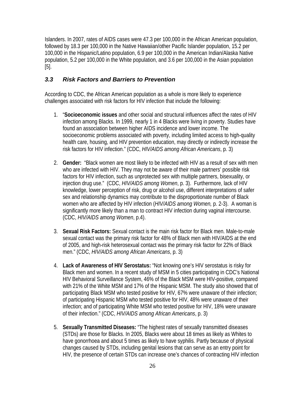Islanders. In 2007, rates of AIDS cases were 47.3 per 100,000 in the African American population, followed by 18.3 per 100,000 in the Native Hawaiian/other Pacific Islander population, 15.2 per 100,000 in the Hispanic/Latino population, 6.9 per 100,000 in the American Indian/Alaska Native population, 5.2 per 100,000 in the White population, and 3.6 per 100,000 in the Asian population [5].

## *3.3 Risk Factors and Barriers to Prevention*

According to CDC, the African American population as a whole is more likely to experience challenges associated with risk factors for HIV infection that include the following:

- 1. "**Socioeconomic issues** and other social and structural influences affect the rates of HIV infection among Blacks. In 1999, nearly 1 in 4 Blacks were living in poverty. Studies have found an association between higher AIDS incidence and lower income. The socioeconomic problems associated with poverty, including limited access to high-quality health care, housing, and HIV prevention education, may directly or indirectly increase the risk factors for HIV infection." (CDC, *HIV/AIDS among African Americans*, p. 3)
- 2. **Gender:** "Black women are most likely to be infected with HIV as a result of sex with men who are infected with HIV. They may not be aware of their male partners' possible risk factors for HIV infection, such as unprotected sex with multiple partners, bisexuality, or injection drug use." (CDC, *HIV/AIDS among Women*, p. 3). Furthermore, lack of HIV knowledge, lower perception of risk, drug or alcohol use, different interpretations of safer sex and relationship dynamics may contribute to the disproportionate number of Black women who are affected by HIV infection (*HIV/AIDS among Women,* p. 2-3). A woman is significantly more likely than a man to contract HIV infection during vaginal intercourse. (CDC, *HIV/AIDS among Women*, p.4).
- 3. **Sexual Risk Factors:** Sexual contact is the main risk factor for Black men. Male-to-male sexual contact was the primary risk factor for 48% of Black men with HIV/AIDS at the end of 2005, and high-risk heterosexual contact was the primary risk factor for 22% of Black men." (CDC, *HIV/AIDS among African Americans*, p. 3)
- 4. **Lack of Awareness of HIV Serostatus:** "Not knowing one's HIV serostatus is risky for Black men and women. In a recent study of MSM in 5 cities participating in CDC's National HIV Behavioral Surveillance System, 46% of the Black MSM were HIV-positive, compared with 21% of the White MSM and 17% of the Hispanic MSM. The study also showed that of participating Black MSM who tested positive for HIV, 67% were unaware of their infection; of participating Hispanic MSM who tested positive for HIV, 48% were unaware of their infection; and of participating White MSM who tested positive for HIV, 18% were unaware of their infection." (CDC, *HIV/AIDS among African Americans*, p. 3)
- 5. **Sexually Transmitted Diseases:** "The highest rates of sexually transmitted diseases (STDs) are those for Blacks. In 2005, Blacks were about 18 times as likely as Whites to have gonorrhoea and about 5 times as likely to have syphilis. Partly because of physical changes caused by STDs, including genital lesions that can serve as an entry point for HIV, the presence of certain STDs can increase one's chances of contracting HIV infection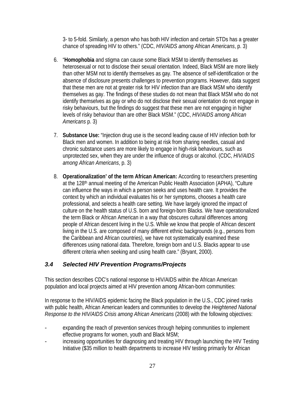3- to 5-fold. Similarly, a person who has both HIV infection and certain STDs has a greater chance of spreading HIV to others." (CDC, *HIV/AIDS among African Americans*, p. 3)

- 6. "**Homophobia** and stigma can cause some Black MSM to identify themselves as heterosexual or not to disclose their sexual orientation. Indeed, Black MSM are more likely than other MSM not to identify themselves as gay. The absence of self-identification or the absence of disclosure presents challenges to prevention programs. However, data suggest that these men are not at greater risk for HIV infection than are Black MSM who identify themselves as gay. The findings of these studies do not mean that Black MSM who do not identify themselves as gay or who do not disclose their sexual orientation do not engage in risky behaviours, but the findings do suggest that these men are not engaging in higher levels of risky behaviour than are other Black MSM." (CDC, *HIV/AIDS among African Americans* p. 3)
- 7. **Substance Use:** "Injection drug use is the second leading cause of HIV infection both for Black men and women. In addition to being at risk from sharing needles, casual and chronic substance users are more likely to engage in high-risk behaviours, such as unprotected sex, when they are under the influence of drugs or alcohol. (CDC, *HIV/AIDS among African Americans*, p. 3)
- 8. **Operationalization' of the term African American:** According to researchers presenting at the 128<sup>th</sup> annual meeting of the American Public Health Association (APHA), "Culture can influence the ways in which a person seeks and uses health care. It provides the context by which an individual evaluates his or her symptoms, chooses a health care professional, and selects a health care setting. We have largely ignored the impact of culture on the health status of U.S. born and foreign-born Blacks. We have operationalized the term Black or African American in a way that obscures cultural differences among people of African descent living in the U.S. While we know that people of African descent living in the U.S. are composed of many different ethnic backgrounds (e.g., persons from the Caribbean and African countries), we have not systematically examined these differences using national data. Therefore, foreign born and U.S. Blacks appear to use different criteria when seeking and using health care." (Bryant, 2000).

## *3.4 Selected HIV Prevention Programs/Projects*

This section describes CDC's national response to HIV/AIDS within the African American population and local projects aimed at HIV prevention among African-born communities:

In response to the HIV/AIDS epidemic facing the Black population in the U.S., CDC joined ranks with public health, African American leaders and communities to develop the *Heightened National Response to the HIV/AIDS Crisis among African Americans* (2008) with the following objectives:

- expanding the reach of prevention services through helping communities to implement effective programs for women, youth and Black MSM;
- increasing opportunities for diagnosing and treating HIV through launching the HIV Testing Initiative (\$35 million to health departments to increase HIV testing primarily for African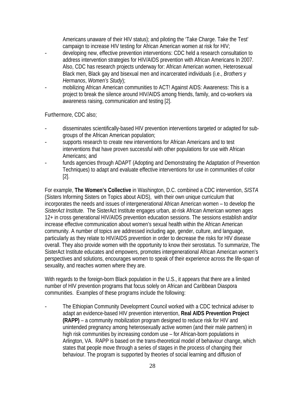Americans unaware of their HIV status); and piloting the 'Take Charge. Take the Test' campaign to increase HIV testing for African American women at risk for HIV;

- developing new, effective prevention interventions: CDC held a research consultation to address intervention strategies for HIV/AIDS prevention with African Americans In 2007. Also, CDC has research projects underway for: African American women, Heterosexual Black men, Black gay and bisexual men and incarcerated individuals (i.e., *Brothers y Hermanos*, *Women's Study*);
- mobilizing African American communities to ACT! Against AIDS: Awareness: This is a project to break the silence around HIV/AIDS among friends, family, and co-workers via awareness raising, communication and testing [2].

Furthermore, CDC also;

- disseminates scientifically-based HIV prevention interventions targeted or adapted for subgroups of the African American population;
- supports research to create new interventions for African Americans and to test interventions that have proven successful with other populations for use with African Americans; and
- funds agencies through ADAPT (Adopting and Demonstrating the Adaptation of Prevention Techniques) to adapt and evaluate effective interventions for use in communities of color [2].

For example, **The Women's Collective** in Washington, D.C. combined a CDC intervention, *SISTA* (Sisters Informing Sisters on Topics about AIDS), with their own unique curriculum that incorporates the needs and issues of intergenerational African American women – to develop the *SisterAct Institute*. The SisterAct Institute engages urban, at-risk African American women ages 12+ in cross generational HIV/AIDS prevention education sessions. The sessions establish and/or increase effective communication about women's sexual health within the African American community. A number of topics are addressed including age, gender, culture, and language, particularly as they relate to HIV/AIDS prevention in order to decrease the risks for HIV disease overall. They also provide women with the opportunity to know their serostatus. To summarize, The SisterAct Institute educates and empowers, promotes intergenerational African American women's perspectives and solutions, encourages women to speak of their experience across the life-span of sexuality, and reaches women where they are.

With regards to the foreign-born Black population in the U.S., it appears that there are a limited number of HIV prevention programs that focus solely on African and Caribbean Diaspora communities. Examples of these programs include the following:

The Ethiopian Community Development Council worked with a CDC technical adviser to adapt an evidence-based HIV prevention intervention, **Real AIDS Prevention Project (RAPP)** – a community mobilization program designed to reduce risk for HIV and unintended pregnancy among heterosexually active women (and their male partners) in high risk communities by increasing condom use – for African-born populations in Arlington, VA. RAPP is based on the trans-theoretical model of behaviour change, which states that people move through a series of stages in the process of changing their behaviour. The program is supported by theories of social learning and diffusion of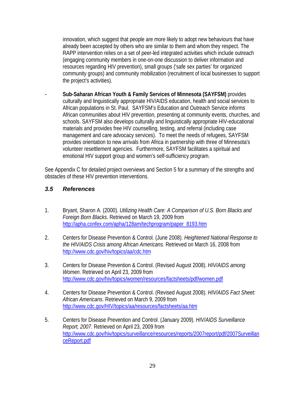innovation, which suggest that people are more likely to adopt new behaviours that have already been accepted by others who are similar to them and whom they respect. The RAPP intervention relies on a set of peer-led integrated activities which include outreach (engaging community members in one-on-one discussion to deliver information and resources regarding HIV prevention), small groups ('safe sex parties' for organized community groups) and community mobilization (recruitment of local businesses to support the project's activities).

- **Sub-Saharan African Youth & Family Services of Minnesota (SAYFSM)** provides culturally and linguistically appropriate HIV/AIDS education, health and social services to African populations in St. Paul. SAYFSM's Education and Outreach Service informs African communities about HIV prevention, presenting at community events, churches, and schools. SAYFSM also develops culturally and linguistically appropriate HIV-educational materials and provides free HIV counselling, testing, and referral (including case management and care advocacy services). To meet the needs of refugees, SAYFSM provides orientation to new arrivals from Africa in partnership with three of Minnesota's volunteer resettlement agencies. Furthermore, SAYFSM facilitates a spiritual and emotional HIV support group and women's self-sufficiency program.

See Appendix C for detailed project overviews and Section 5 for a summary of the strengths and obstacles of these HIV prevention interventions.

## *3.5 References*

- 1. Bryant, Sharon A. (2000). *Utilizing Health Care: A Comparison of U.S. Born Blacks and Foreign Born Blacks*. Retrieved on March 19, 2009 from http://apha.confex.com/apha/128am/techprogram/paper\_8193.htm
- 2. Centers for Disease Prevention & Control. (June 2008). *Heightened National Response to the HIV/AIDS Crisis among African Americans*. Retrieved on March 16, 2008 from http://www.cdc.gov/hiv/topics/aa/cdc.htm
- 3. Centers for Disease Prevention & Control. (Revised August 2008). *HIV/AIDS among Women*. Retrieved on April 23, 2009 from http://www.cdc.gov/hiv/topics/women/resources/factsheets/pdf/women.pdf
- 4. Centers for Disease Prevention & Control. (Revised August 2008). *HIV/AIDS Fact Sheet: African Americans*. Retrieved on March 9, 2009 from http://www.cdc.gov/HIV/topics/aa/resources/factsheets/aa.htm
- 5. Centers for Disease Prevention and Control. (January 2009). *HIV/AIDS Surveillance Report, 2007*. Retrieved on April 23, 2009 from http://www.cdc.gov/hiv/topics/surveillance/resources/reports/2007report/pdf/2007Surveillan ceReport.pdf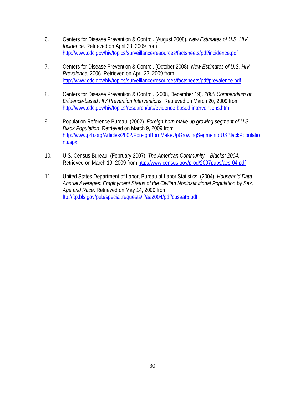- 6. Centers for Disease Prevention & Control. (August 2008). *New Estimates of U.S. HIV Incidence*. Retrieved on April 23, 2009 from http://www.cdc.gov/hiv/topics/surveillance/resources/factsheets/pdf/incidence.pdf
- 7. Centers for Disease Prevention & Control. (October 2008). *New Estimates of U.S. HIV Prevalence,* 2006. Retrieved on April 23, 2009 from http://www.cdc.gov/hiv/topics/surveillance/resources/factsheets/pdf/prevalence.pdf
- 8. Centers for Disease Prevention & Control. (2008, December 19). *2008 Compendium of Evidence-based HIV Prevention Interventions*. Retrieved on March 20, 2009 from http://www.cdc.gov/hiv/topics/research/prs/evidence-based-interventions.htm
- 9. Population Reference Bureau. (2002). *Foreign-born make up growing segment of U.S. Black Population*. Retrieved on March 9, 2009 from http://www.prb.org/Articles/2002/ForeignBornMakeUpGrowingSegmentofUSBlackPopulatio n.aspx
- 10. U.S. Census Bureau. (February 2007). *The American Community Blacks: 2004*. Retrieved on March 19, 2009 from http://www.census.gov/prod/2007pubs/acs-04.pdf
- 11. United States Department of Labor, Bureau of Labor Statistics. (2004). *Household Data Annual Averages: Employment Status of the Civilian Noninstitutional Population by Sex, Age and Race*. Retrieved on May 14, 2009 from ftp://ftp.bls.gov/pub/special.requests/lf/aa2004/pdf/cpsaat5.pdf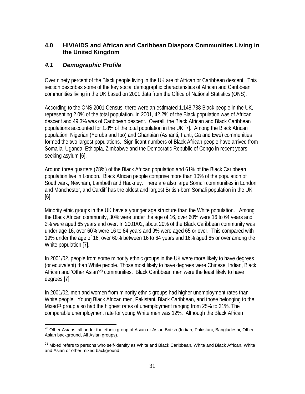## **4.0 HIV/AIDS and African and Caribbean Diaspora Communities Living in the United Kingdom**

## *4.1 Demographic Profile*

Over ninety percent of the Black people living in the UK are of African or Caribbean descent. This section describes some of the key social demographic characteristics of African and Caribbean communities living in the UK based on 2001 data from the Office of National Statistics (ONS).

According to the ONS 2001 Census, there were an estimated 1,148,738 Black people in the UK, representing 2.0% of the total population. In 2001, 42.2% of the Black population was of African descent and 49.3% was of Caribbean descent. Overall, the Black African and Black Caribbean populations accounted for 1.8% of the total population in the UK [7]. Among the Black African population, Nigerian (Yoruba and Ibo) and Ghanaian (Ashanti, Fanti, Ga and Ewe) communities formed the two largest populations. Significant numbers of Black African people have arrived from Somalia, Uganda, Ethiopia, Zimbabwe and the Democratic Republic of Congo in recent years, seeking asylum [6].

Around three quarters (78%) of the Black African population and 61% of the Black Caribbean population live in London. Black African people comprise more than 10% of the population of Southwark, Newham, Lambeth and Hackney. There are also large Somali communities in London and Manchester, and Cardiff has the oldest and largest British-born Somali population in the UK [6].

Minority ethic groups in the UK have a younger age structure than the White population. Among the Black African community, 30% were under the age of 16, over 60% were 16 to 64 years and 2% were aged 65 years and over. In 2001/02, about 20% of the Black Caribbean community was under age 16, over 60% were 16 to 64 years and 9% were aged 65 or over. This compared with 19% under the age of 16, over 60% between 16 to 64 years and 16% aged 65 or over among the White population [7].

In 2001/02, people from some minority ethnic groups in the UK were more likely to have degrees (or equivalent) than White people. Those most likely to have degrees were Chinese, Indian, Black African and 'Other Asian'20 communities. Black Caribbean men were the least likely to have degrees [7].

In 2001/02, men and women from minority ethnic groups had higher unemployment rates than White people. Young Black African men, Pakistani, Black Caribbean, and those belonging to the Mixed<sup>21</sup> group also had the highest rates of unemployment ranging from 25% to 31%. The comparable unemployment rate for young White men was 12%. Although the Black African

 $\overline{a}$ <sup>20</sup> Other Asians fall under the ethnic group of Asian or Asian British (Indian, Pakistani, Bangladeshi, Other Asian background, All Asian groups).

<sup>&</sup>lt;sup>21</sup> Mixed refers to persons who self-identify as White and Black Caribbean, White and Black African, White and Asian or other mixed background.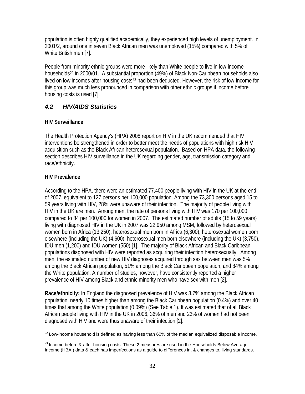population is often highly qualified academically, they experienced high levels of unemployment. In 2001/2, around one in seven Black African men was unemployed (15%) compared with 5% of White British men [7].

People from minority ethnic groups were more likely than White people to live in low-income households<sup>22</sup> in 2000/01. A substantial proportion (49%) of Black Non-Caribbean households also lived on low incomes after housing costs<sup>23</sup> had been deducted. However, the risk of low-income for this group was much less pronounced in comparison with other ethnic groups if income before housing costs is used [7].

## *4.2 HIV/AIDS Statistics*

## **HIV Surveillance**

The Health Protection Agency's (HPA) 2008 report on HIV in the UK recommended that HIV interventions be strengthened in order to better meet the needs of populations with high risk HIV acquisition such as the Black African heterosexual population. Based on HPA data, the following section describes HIV surveillance in the UK regarding gender, age, transmission category and race/ethnicity.

## **HIV Prevalence**

According to the HPA, there were an estimated 77,400 people living with HIV in the UK at the end of 2007, equivalent to 127 persons per 100,000 population. Among the 73,300 persons aged 15 to 59 years living with HIV, 28% were unaware of their infection. The majority of people living with HIV in the UK are men. Among men, the rate of persons living with HIV was 170 per 100,000 compared to 84 per 100,000 for women in 2007. The estimated number of adults (15 to 59 years) living with diagnosed HIV in the UK in 2007 was 22,950 among MSM, followed by heterosexual women born in Africa (13,250), heterosexual men born in Africa (6,300), heterosexual women born elsewhere (including the UK) (4,600), heterosexual men born elsewhere (including the UK) (3,750), IDU men (1,200) and IDU women (550) [1]. The majority of Black African and Black Caribbean populations diagnosed with HIV were reported as acquiring their infection heterosexually. Among men, the estimated number of new HIV diagnoses acquired through sex between men was 5% among the Black African population, 51% among the Black Caribbean population, and 84% among the White population. A number of studies, however, have consistently reported a higher prevalence of HIV among Black and ethnic minority men who have sex with men [2].

**Race/ethnicity:** In England the diagnosed prevalence of HIV was 3.7% among the Black African population, nearly 10 times higher than among the Black Caribbean population (0.4%) and over 40 times that among the White population (0.09%) (See Table 1). It was estimated that of all Black African people living with HIV in the UK in 2006, 36% of men and 23% of women had not been diagnosed with HIV and were thus unaware of their infection [2].

 $\overline{a}$  $^{22}$  Low-income household is defined as having less than 60% of the median equivalized disposable income.

 $^{23}$  Income before & after housing costs: These 2 measures are used in the Households Below Average Income (HBAI) data & each has imperfections as a guide to differences in, & changes to, living standards.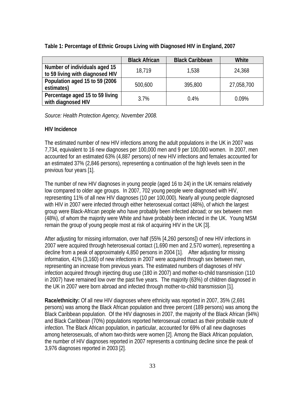|                                                                  | <b>Black African</b> | <b>Black Caribbean</b> | White      |
|------------------------------------------------------------------|----------------------|------------------------|------------|
| Number of individuals aged 15<br>to 59 living with diagnosed HIV | 18.719               | 1.538                  | 24,368     |
| Population aged 15 to 59 (2006<br>estimates)                     | 500,600              | 395,800                | 27,058,700 |
| Percentage aged 15 to 59 living<br>with diagnosed HIV            | 3.7%                 | $0.4\%$                | $0.09\%$   |

## **Table 1: Percentage of Ethnic Groups Living with Diagnosed HIV in England, 2007**

*Source: Health Protection Agency, November 2008.* 

## **HIV Incidence**

The estimated number of new HIV infections among the adult populations in the UK in 2007 was 7,734, equivalent to 16 new diagnoses per 100,000 men and 9 per 100,000 women. In 2007, men accounted for an estimated 63% (4,887 persons) of new HIV infections and females accounted for an estimated 37% (2,846 persons), representing a continuation of the high levels seen in the previous four years [1].

The number of new HIV diagnoses in young people (aged 16 to 24) in the UK remains relatively low compared to older age groups. In 2007, 702 young people were diagnosed with HIV, representing 11% of all new HIV diagnoses (10 per 100,000). Nearly all young people diagnosed with HIV in 2007 were infected through either heterosexual contact (48%), of which the largest group were Black-African people who have probably been infected abroad; or sex between men (48%), of whom the majority were White and have probably been infected in the UK. Young MSM remain the group of young people most at risk of acquiring HIV in the UK [3].

After adjusting for missing information, over half (55% [4,260 persons]) of new HIV infections in 2007 were acquired through heterosexual contact (1,690 men and 2,570 women), representing a decline from a peak of approximately 4,850 persons in 2004 [1]. After adjusting for missing information, 41% (3,160) of new infections in 2007 were acquired through sex between men, representing an increase from previous years. The estimated numbers of diagnoses of HIV infection acquired through injecting drug use (180 in 2007) and mother-to-child transmission (110 in 2007) have remained low over the past five years. The majority (63%) of children diagnosed in the UK in 2007 were born abroad and infected through mother-to-child transmission [1].

**Race/ethnicity:** Of all new HIV diagnoses where ethnicity was reported in 2007, 35% (2,691 persons) was among the Black African population and three percent (189 persons) was among the Black Caribbean population. Of the HIV diagnoses in 2007, the majority of the Black African (94%) and Black Caribbean (70%) populations reported heterosexual contact as their probable route of infection. The Black African population, in particular, accounted for 69% of all new diagnoses among heterosexuals, of whom two-thirds were women [2]. Among the Black African population, the number of HIV diagnoses reported in 2007 represents a continuing decline since the peak of 3,976 diagnoses reported in 2003 [2].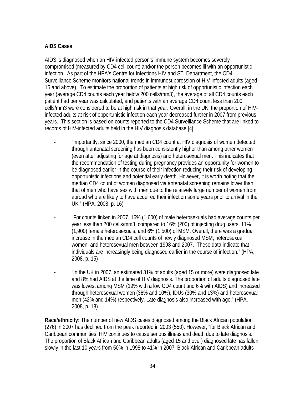## **AIDS Cases**

AIDS is diagnosed when an HIV-infected person's immune system becomes severely compromised (measured by CD4 cell count) and/or the person becomes ill with an opportunistic infection. As part of the HPA's Centre for Infections HIV and STI Department, the CD4 Surveillance Scheme monitors national trends in immunosuppression of HIV-infected adults (aged 15 and above). To estimate the proportion of patients at high risk of opportunistic infection each year (average CD4 counts each year below 200 cells/mm3), the average of all CD4 counts each patient had per year was calculated, and patients with an average CD4 count less than 200 cells/mm3 were considered to be at high risk in that year. Overall, in the UK, the proportion of HIVinfected adults at risk of opportunistic infection each year decreased further in 2007 from previous years. This section is based on counts reported to the CD4 Surveillance Scheme that are linked to records of HIV-infected adults held in the HIV diagnosis database [4]:

- "Importantly, since 2000, the median CD4 count at HIV diagnosis of women detected through antenatal screening has been consistently higher than among other women (even after adjusting for age at diagnosis) and heterosexual men. This indicates that the recommendation of testing during pregnancy provides an opportunity for women to be diagnosed earlier in the course of their infection reducing their risk of developing opportunistic infections and potential early death. However, it is worth noting that the median CD4 count of women diagnosed via antenatal screening remains lower than that of men who have sex with men due to the relatively large number of women from abroad who are likely to have acquired their infection some years prior to arrival in the UK." (HPA, 2008, p. 16)
- "For counts linked in 2007, 16% (1,600) of male heterosexuals had average counts per year less than 200 cells/mm3, compared to 16% (200) of injecting drug users, 11% (1,900) female heterosexuals, and 6% (1,500) of MSM. Overall, there was a gradual increase in the median CD4 cell counts of newly diagnosed MSM, heterosexual women, and heterosexual men between 1998 and 2007. These data indicate that individuals are increasingly being diagnosed earlier in the course of infection." (HPA, 2008, p. 15)
- "In the UK in 2007, an estimated 31% of adults (aged 15 or more) were diagnosed late and 8% had AIDS at the time of HIV diagnosis. The proportion of adults diagnosed late was lowest among MSM (19% with a low CD4 count and 6% with AIDS) and increased through heterosexual women (36% and 10%), IDUs (30% and 13%) and heterosexual men (42% and 14%) respectively. Late diagnosis also increased with age." (HPA, 2008, p. 18)

**Race/ethnicity:** The number of new AIDS cases diagnosed among the Black African population (276) in 2007 has declined from the peak reported in 2003 (550). However, "for Black African and Caribbean communities, HIV continues to cause serious illness and death due to late diagnosis. The proportion of Black African and Caribbean adults (aged 15 and over) diagnosed late has fallen slowly in the last 10 years from 50% in 1998 to 41% in 2007. Black African and Caribbean adults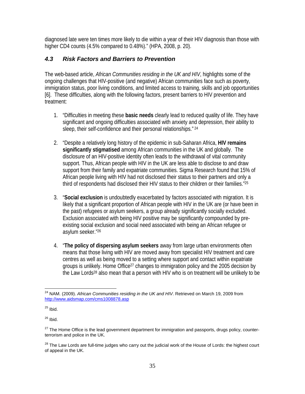diagnosed late were ten times more likely to die within a year of their HIV diagnosis than those with higher CD4 counts (4.5% compared to 0.48%)." (HPA, 2008, p. 20).

## *4.3 Risk Factors and Barriers to Prevention*

The web-based article, *African Communities residing in the UK and HIV*, highlights some of the ongoing challenges that HIV-positive (and negative) African communities face such as poverty, immigration status, poor living conditions, and limited access to training, skills and job opportunities [6]. These difficulties, along with the following factors, present barriers to HIV prevention and treatment:

- 1. "Difficulties in meeting these **basic needs** clearly lead to reduced quality of life. They have significant and ongoing difficulties associated with anxiety and depression, their ability to sleep, their self-confidence and their personal relationships."<sup>24</sup>
- 2. "Despite a relatively long history of the epidemic in sub-Saharan Africa, **HIV remains significantly stigmatised** among African communities in the UK and globally. The disclosure of an HIV-positive identity often leads to the withdrawal of vital community support. Thus, African people with HIV in the UK are less able to disclose to and draw support from their family and expatriate communities. Sigma Research found that 15% of African people living with HIV had not disclosed their status to their partners and only a third of respondents had disclosed their HIV status to their children or their families."25
- 3. "**Social exclusion** is undoubtedly exacerbated by factors associated with migration. It is likely that a significant proportion of African people with HIV in the UK are (or have been in the past) refugees or asylum seekers, a group already significantly socially excluded. Exclusion associated with being HIV positive may be significantly compounded by preexisting social exclusion and social need associated with being an African refugee or asylum seeker."26
- 4. "**The policy of dispersing asylum seekers** away from large urban environments often means that those living with HIV are moved away from specialist HIV treatment and care centres as well as being moved to a setting where support and contact within expatriate groups is unlikely. Home Office<sup>27</sup> changes to immigration policy and the 2005 decision by the Law Lords28 also mean that a person with HIV who is on treatment will be unlikely to be

 $\overline{a}$ 24 NAM. (2009). *African Communities residing in the UK and HIV*. Retrieved on March 19, 2009 from http://www.aidsmap.com/cms1008878.asp

 $25$  Ibid.

 $26$  Ibid.

 $27$  The Home Office is the lead government department for immigration and passports, drugs policy, counterterrorism and police in the UK.

<sup>&</sup>lt;sup>28</sup> The Law Lords are full-time judges who carry out the judicial work of the House of Lords: the highest court of appeal in the UK.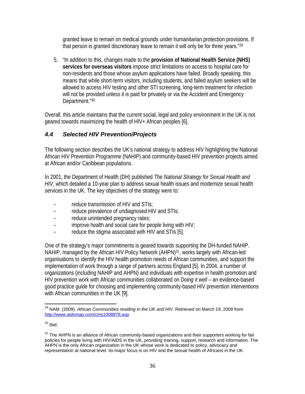granted leave to remain on medical grounds under humanitarian protection provisions. If that person is granted discretionary leave to remain it will only be for three years."<sup>29</sup>

5. "In addition to this, changes made to the **provision of National Health Service (NHS) services for overseas visitors** impose strict limitations on access to hospital care for non-residents and those whose asylum applications have failed. Broadly speaking, this means that while short-term visitors, including students, and failed asylum seekers will be allowed to access HIV testing and other STI screening, long-term treatment for infection will not be provided unless it is paid for privately or via the Accident and Emergency Department."30

Overall, this article maintains that the current social, legal and policy environment in the UK is not geared towards maximizing the health of HIV+ African peoples [6].

## *4.4 Selected HIV Prevention/Projects*

The following section describes the UK's national strategy to address HIV highlighting the National African HIV Prevention Programme (NAHIP) and community-based HIV prevention projects aimed at African and/or Caribbean populations.

In 2001, the Department of Health (DH) published *The National Strategy for Sexual Health and HIV*, which detailed a 10-year plan to address sexual health issues and modernize sexual health services in the UK. The key objectives of the strategy were to:

- reduce transmission of HIV and STIs;
- reduce prevalence of undiagnosed HIV and STIs;
- reduce unintended pregnancy rates;
- improve health and social care for people living with HIV;
- reduce the stigma associated with HIV and STIs [5].

One of the strategy's major commitments is geared towards supporting the DH-funded NAHIP. NAHIP, managed by the African HIV Policy Network (AHPN)<sup>31</sup>, works largely with African-led organisations to identify the HIV health promotion needs of African communities, and support the implementation of work through a range of partners across England [5]. In 2004, a number of organizations (including NAHIP and AHPN) and individuals with expertise in health promotion and HIV prevention work with African communities collaborated on *Doing it well* – an evidence-based good practice guide for choosing and implementing community-based HIV prevention interventions with African communities in the UK [9].

 $\overline{a}$ <sup>29</sup> NAM. (2009). *African Communities residing in the UK and HIV*. Retrieved on March 19, 2009 from http://www.aidsmap.com/cms1008878.asp

 $30$  Ibid.

<sup>&</sup>lt;sup>31</sup> The AHPN is an alliance of African community-based organizations and their supporters working for fair policies for people living with HIV/AIDS in the UK, providing training, support, research and information. The AHPN is the only African organization in the UK whose work is dedicated to policy, advocacy and representation at national level. Its major focus is on HIV and the sexual health of Africans in the UK.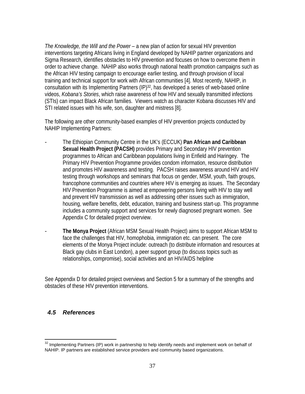*The Knowledge, the Will and the Power* – a new plan of action for sexual HIV prevention interventions targeting Africans living in England developed by NAHIP partner organizations and Sigma Research, identifies obstacles to HIV prevention and focuses on how to overcome them in order to achieve change. NAHIP also works through national health promotion campaigns such as the African HIV testing campaign to encourage earlier testing, and through provision of local training and technical support for work with African communities [4]. Most recently, NAHIP, in consultation with its Implementing Partners (IP)<sup>32</sup>, has developed a series of web-based online videos, *Kobana's Stories*, which raise awareness of how HIV and sexually transmitted infections (STIs) can impact Black African families. Viewers watch as character Kobana discusses HIV and STI related issues with his wife, son, daughter and mistress [8].

The following are other community-based examples of HIV prevention projects conducted by NAHIP Implementing Partners:

- The Ethiopian Community Centre in the UK's (ECCUK) **Pan African and Caribbean Sexual Health Project (PACSH)** provides Primary and Secondary HIV prevention programmes to African and Caribbean populations living in Enfield and Haringey. The Primary HIV Prevention Programme provides condom information, resource distribution and promotes HIV awareness and testing. PACSH raises awareness around HIV and HIV testing through workshops and seminars that focus on gender, MSM, youth, faith groups, francophone communities and countries where HIV is emerging as issues. The Secondary HIV Prevention Programme is aimed at empowering persons living with HIV to stay well and prevent HIV transmission as well as addressing other issues such as immigration, housing, welfare benefits, debt, education, training and business start-up. This programme includes a community support and services for newly diagnosed pregnant women. See Appendix C for detailed project overview.
- **The Monya Project** (African MSM Sexual Health Project) aims to support African MSM to face the challenges that HIV, homophobia, immigration etc. can present. The core elements of the Monya Project include: outreach (to distribute information and resources at Black gay clubs in East London), a peer support group (to discuss topics such as relationships, compromise), social activities and an HIV/AIDS helpline

See Appendix D for detailed project overviews and Section 5 for a summary of the strengths and obstacles of these HIV prevention interventions.

## *4.5 References*

 $\overline{a}$ <sup>32</sup> Implementing Partners (IP) work in partnership to help identify needs and implement work on behalf of NAHIP. IP partners are established service providers and community based organizations.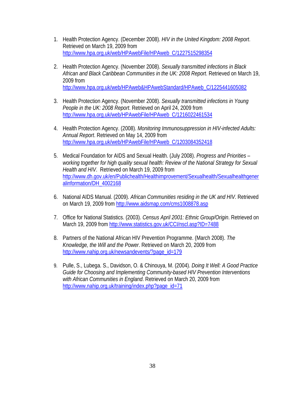- 1. Health Protection Agency. (December 2008). *HIV in the United Kingdom: 2008 Report*. Retrieved on March 19, 2009 from http://www.hpa.org.uk/web/HPAwebFile/HPAweb\_C/1227515298354
- 2. Health Protection Agency. (November 2008). *Sexually transmitted infections in Black African and Black Caribbean Communities in the UK: 2008 Report*. Retrieved on March 19, 2009 from http://www.hpa.org.uk/web/HPAweb&HPAwebStandard/HPAweb\_C/1225441605082
- 3. Health Protection Agency. (November 2008). *Sexually transmitted infections in Young People in the UK: 2008 Report*. Retrieved on April 24, 2009 from http://www.hpa.org.uk/web/HPAwebFile/HPAweb\_C/1216022461534
- 4. Health Protection Agency. (2008). *Monitoring Immunosuppression in HIV-infected Adults: Annual Report*. Retrieved on May 14, 2009 from http://www.hpa.org.uk/web/HPAwebFile/HPAweb\_C/1203084352418
- 5. Medical Foundation for AIDS and Sexual Health. (July 2008). *Progress and Priorities working together for high quality sexual health: Review of the National Strategy for Sexual Health and HIV*. Retrieved on March 19, 2009 from http://www.dh.gov.uk/en/Publichealth/Healthimprovement/Sexualhealth/Sexualhealthgener alinformation/DH\_4002168
- 6. National AIDS Manual. (2009). *African Communities residing in the UK and HIV*. Retrieved on March 19, 2009 from http://www.aidsmap.com/cms1008878.asp
- 7. Office for National Statistics. (2003). *Census April 2001: Ethnic Group/Origin*. Retrieved on March 19, 2009 from http://www.statistics.gov.uk/CCI/nscl.asp?ID=7488
- 8. Partners of the National African HIV Prevention Programme. (March 2008). *The Knowledge, the Will and the Power*. Retrieved on March 20, 2009 from http://www.nahip.org.uk/newsandevents/?page\_id=179
- 9. Pulle, S., Lubega. S., Davidson, O. & Chinouya, M. (2004). *Doing It Well: A Good Practice Guide for Choosing and Implementing Community-based HIV Prevention Interventions with African Communities in England*. Retrieved on March 20, 2009 from http://www.nahip.org.uk/training/index.php?page\_id=71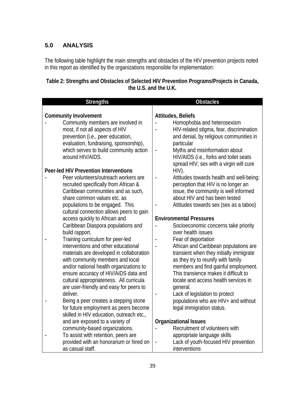## **5.0 ANALYSIS**

The following table highlight the main strengths and obstacles of the HIV prevention projects noted in this report as identified by the organizations responsible for implementation:

## **Table 2: Strengths and Obstacles of Selected HIV Prevention Programs/Projects in Canada, the U.S. and the U.K.**

| <b>Strengths</b>                                                                                                                                                                                                                                                                                                                                                                                                                       | <b>Obstacles</b>                                                                                                                                                                                                                                                                                                                                                                     |
|----------------------------------------------------------------------------------------------------------------------------------------------------------------------------------------------------------------------------------------------------------------------------------------------------------------------------------------------------------------------------------------------------------------------------------------|--------------------------------------------------------------------------------------------------------------------------------------------------------------------------------------------------------------------------------------------------------------------------------------------------------------------------------------------------------------------------------------|
|                                                                                                                                                                                                                                                                                                                                                                                                                                        |                                                                                                                                                                                                                                                                                                                                                                                      |
| <b>Community Involvement</b><br>Community members are involved in<br>most, if not all aspects of HIV<br>prevention (i.e., peer education,<br>evaluation, fundraising, sponsorship),<br>which serves to build community action                                                                                                                                                                                                          | <b>Attitudes, Beliefs</b><br>Homophobia and heterosexism<br>HIV-related stigma, fear, discrimination<br>and denial, by religious communities in<br>particular<br>Myths and misinformation about<br>$\qquad \qquad \blacksquare$                                                                                                                                                      |
| around HIV/AIDS.                                                                                                                                                                                                                                                                                                                                                                                                                       | HIV/AIDS (i.e., forks and toilet seats<br>spread HIV; sex with a virgin will cure                                                                                                                                                                                                                                                                                                    |
| <b>Peer-led HIV Prevention Interventions</b><br>Peer volunteers/outreach workers are                                                                                                                                                                                                                                                                                                                                                   | $HIV$ ).                                                                                                                                                                                                                                                                                                                                                                             |
| recruited specifically from African &<br>Caribbean communities and as such,<br>share common values etc. as                                                                                                                                                                                                                                                                                                                             | Attitudes towards health and well-being:<br>perception that HIV is no longer an<br>issue, the community is well informed<br>about HIV and has been tested                                                                                                                                                                                                                            |
| populations to be engaged. This<br>cultural connection allows peers to gain                                                                                                                                                                                                                                                                                                                                                            | Attitudes towards sex (sex as a taboo)                                                                                                                                                                                                                                                                                                                                               |
| access quickly to African and                                                                                                                                                                                                                                                                                                                                                                                                          | <b>Environmental Pressures</b>                                                                                                                                                                                                                                                                                                                                                       |
| Caribbean Diaspora populations and                                                                                                                                                                                                                                                                                                                                                                                                     | Socioeconomic concerns take priority                                                                                                                                                                                                                                                                                                                                                 |
| build rapport.                                                                                                                                                                                                                                                                                                                                                                                                                         | over health issues                                                                                                                                                                                                                                                                                                                                                                   |
| Training curriculum for peer-led                                                                                                                                                                                                                                                                                                                                                                                                       | Fear of deportation<br>$\blacksquare$                                                                                                                                                                                                                                                                                                                                                |
| interventions and other educational<br>materials are developed in collaboration<br>with community members and local<br>and/or national health organizations to<br>ensure accuracy of HIV/AIDS data and<br>cultural appropriateness. All curricula<br>are user-friendly and easy for peers to<br>deliver.<br>Being a peer creates a stepping stone<br>for future employment as peers become<br>skilled in HIV education, outreach etc., | African and Caribbean populations are<br>$\overline{a}$<br>transient when they initially immigrate<br>as they try to reunify with family<br>members and find gainful employment.<br>This transience makes it difficult to<br>locate and access health services in<br>general.<br>Lack of legislation to protect<br>populations who are HIV+ and without<br>legal immigration status. |
| and are exposed to a variety of                                                                                                                                                                                                                                                                                                                                                                                                        | <b>Organizational Issues</b>                                                                                                                                                                                                                                                                                                                                                         |
| community-based organizations.                                                                                                                                                                                                                                                                                                                                                                                                         | Recruitment of volunteers with                                                                                                                                                                                                                                                                                                                                                       |
| To assist with retention, peers are                                                                                                                                                                                                                                                                                                                                                                                                    | appropriate language skills                                                                                                                                                                                                                                                                                                                                                          |
| provided with an honorarium or hired on<br>as casual staff.                                                                                                                                                                                                                                                                                                                                                                            | Lack of youth-focused HIV prevention<br>$\overline{\phantom{0}}$<br>interventions                                                                                                                                                                                                                                                                                                    |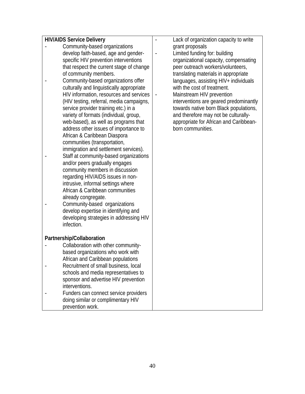| <b>HIV/AIDS Service Delivery</b>          | Lack of organization capacity to write                |
|-------------------------------------------|-------------------------------------------------------|
| Community-based organizations             | grant proposals                                       |
| develop faith-based, age and gender-      | Limited funding for: building                         |
| specific HIV prevention interventions     | organizational capacity, compensating                 |
| that respect the current stage of change  | peer outreach workers/volunteers,                     |
| of community members.                     | translating materials in appropriate                  |
| Community-based organizations offer       | languages, assisting HIV+ individuals                 |
| culturally and linguistically appropriate | with the cost of treatment.                           |
| HIV information, resources and services   | Mainstream HIV prevention<br>$\overline{\phantom{0}}$ |
| (HIV testing, referral, media campaigns,  | interventions are geared predominantly                |
| service provider training etc.) in a      | towards native born Black populations,                |
| variety of formats (individual, group,    | and therefore may not be culturally-                  |
| web-based), as well as programs that      | appropriate for African and Caribbean-                |
| address other issues of importance to     | born communities.                                     |
|                                           |                                                       |
| African & Caribbean Diaspora              |                                                       |
| communities (transportation,              |                                                       |
| immigration and settlement services).     |                                                       |
| Staff at community-based organizations    |                                                       |
| and/or peers gradually engages            |                                                       |
| community members in discussion           |                                                       |
| regarding HIV/AIDS issues in non-         |                                                       |
| intrusive, informal settings where        |                                                       |
| African & Caribbean communities           |                                                       |
| already congregate.                       |                                                       |
| Community-based organizations             |                                                       |
| develop expertise in identifying and      |                                                       |
| developing strategies in addressing HIV   |                                                       |
| infection.                                |                                                       |
|                                           |                                                       |
| Partnership/Collaboration                 |                                                       |
| Collaboration with other community-       |                                                       |
| based organizations who work with         |                                                       |
| African and Caribbean populations         |                                                       |
| Recruitment of small business, local      |                                                       |
| schools and media representatives to      |                                                       |
| sponsor and advertise HIV prevention      |                                                       |
| interventions.                            |                                                       |
| Funders can connect service providers     |                                                       |
| doing similar or complimentary HIV        |                                                       |
| prevention work.                          |                                                       |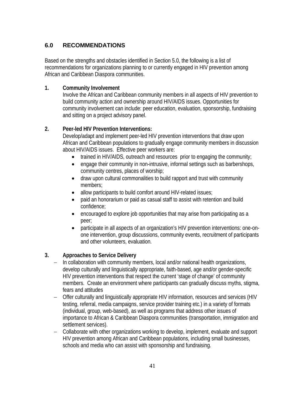## **6.0 RECOMMENDATIONS**

Based on the strengths and obstacles identified in Section 5.0, the following is a list of recommendations for organizations planning to or currently engaged in HIV prevention among African and Caribbean Diaspora communities.

## **1. Community Involvement**

Involve the African and Caribbean community members in all aspects of HIV prevention to build community action and ownership around HIV/AIDS issues. Opportunities for community involvement can include: peer education, evaluation, sponsorship, fundraising and sitting on a project advisory panel.

## **2. Peer-led HIV Prevention Interventions:**

Develop/adapt and implement peer-led HIV prevention interventions that draw upon African and Caribbean populations to gradually engage community members in discussion about HIV/AIDS issues. Effective peer workers are:

- trained in HIV/AIDS, outreach and resources prior to engaging the community;
- engage their community in non-intrusive, informal settings such as barbershops, community centres, places of worship;
- draw upon cultural commonalities to build rapport and trust with community members;
- allow participants to build comfort around HIV-related issues;
- paid an honorarium or paid as casual staff to assist with retention and build confidence;
- encouraged to explore job opportunities that may arise from participating as a peer;
- participate in all aspects of an organization's HIV prevention interventions: one-onone intervention, group discussions, community events, recruitment of participants and other volunteers, evaluation.

## **3. Approaches to Service Delivery**

- − In collaboration with community members, local and/or national health organizations, develop culturally and linguistically appropriate, faith-based, age and/or gender-specific HIV prevention interventions that respect the current 'stage of change' of community members. Create an environment where participants can gradually discuss myths, stigma, fears and attitudes
- − Offer culturally and linguistically appropriate HIV information, resources and services (HIV testing, referral, media campaigns, service provider training etc.) in a variety of formats (individual, group, web-based), as well as programs that address other issues of importance to African & Caribbean Diaspora communities (transportation, immigration and settlement services).
- − Collaborate with other organizations working to develop, implement, evaluate and support HIV prevention among African and Caribbean populations, including small businesses, schools and media who can assist with sponsorship and fundraising.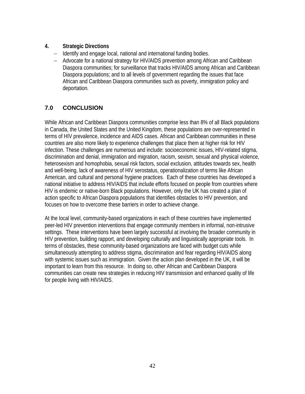## **4. Strategic Directions**

- − Identify and engage local, national and international funding bodies.
- − Advocate for a national strategy for HIV/AIDS prevention among African and Caribbean Diaspora communities; for surveillance that tracks HIV/AIDS among African and Caribbean Diaspora populations; and to all levels of government regarding the issues that face African and Caribbean Diaspora communities such as poverty, immigration policy and deportation.

## **7.0 CONCLUSION**

While African and Caribbean Diaspora communities comprise less than 8% of all Black populations in Canada, the United States and the United Kingdom, these populations are over-represented in terms of HIV prevalence, incidence and AIDS cases. African and Caribbean communities in these countries are also more likely to experience challenges that place them at higher risk for HIV infection. These challenges are numerous and include: socioeconomic issues, HIV-related stigma, discrimination and denial, immigration and migration, racism, sexism, sexual and physical violence, heterosexism and homophobia, sexual risk factors, social exclusion, attitudes towards sex, health and well-being, lack of awareness of HIV serostatus, operationalization of terms like African American, and cultural and personal hygiene practices. Each of these countries has developed a national initiative to address HIV/AIDS that include efforts focused on people from countries where HIV is endemic or native-born Black populations. However, only the UK has created a plan of action specific to African Diaspora populations that identifies obstacles to HIV prevention, and focuses on how to overcome these barriers in order to achieve change.

At the local level, community-based organizations in each of these countries have implemented peer-led HIV prevention interventions that engage community members in informal, non-intrusive settings. These interventions have been largely successful at involving the broader community in HIV prevention, building rapport, and developing culturally and linguistically appropriate tools. In terms of obstacles, these community-based organizations are faced with budget cuts while simultaneously attempting to address stigma, discrimination and fear regarding HIV/AIDS along with systemic issues such as immigration. Given the action plan developed in the UK, it will be important to learn from this resource. In doing so, other African and Caribbean Diaspora communities can create new strategies in reducing HIV transmission and enhanced quality of life for people living with HIV/AIDS.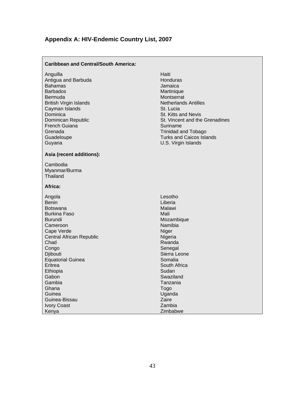## **Appendix A: HIV-Endemic Country List, 2007**

| <b>Caribbean and Central/South America:</b>                                                                                                                                                                                               |                                                                                                                                                                                                                                                                   |
|-------------------------------------------------------------------------------------------------------------------------------------------------------------------------------------------------------------------------------------------|-------------------------------------------------------------------------------------------------------------------------------------------------------------------------------------------------------------------------------------------------------------------|
| Anguilla<br>Antigua and Barbuda<br>Bahamas<br><b>Barbados</b><br>Bermuda<br><b>British Virgin Islands</b><br>Cayman Islands<br>Dominica<br>Dominican Republic<br><b>French Guiana</b><br>Grenada<br>Guadeloupe<br>Guyana                  | Haiti<br>Honduras<br>Jamaica<br>Martinique<br>Montserrat<br><b>Netherlands Antilles</b><br>St. Lucia<br>St. Kitts and Nevis<br>St. Vincent and the Grenadines<br>Suriname<br><b>Trinidad and Tobago</b><br><b>Turks and Caicos Islands</b><br>U.S. Virgin Islands |
| Asia (recent additions):                                                                                                                                                                                                                  |                                                                                                                                                                                                                                                                   |
| Cambodia<br>Myanmar/Burma<br>Thailand                                                                                                                                                                                                     |                                                                                                                                                                                                                                                                   |
| Africa:                                                                                                                                                                                                                                   |                                                                                                                                                                                                                                                                   |
| Angola<br>Benin<br>Botswana<br>Burkina Faso<br><b>Burundi</b><br>Cameroon<br>Cape Verde<br>Central African Republic<br>Chad<br>Congo<br>Djibouti<br><b>Equatorial Guinea</b><br>Eritrea<br>Ethiopia<br>Gabon<br>Gambia<br>Ghana<br>Guinea | Lesotho<br>Liberia<br>Malawi<br>Mali<br>Mozambique<br>Namibia<br>Niger<br>Nigeria<br>Rwanda<br>Senegal<br>Sierra Leone<br>Somalia<br>South Africa<br>Sudan<br>Swaziland<br>Tanzania<br>Togo<br>Uganda                                                             |
| Guinea-Bissau<br><b>Ivory Coast</b><br>Kenya                                                                                                                                                                                              | Zaire<br>Zambia<br>Zimbabwe                                                                                                                                                                                                                                       |
|                                                                                                                                                                                                                                           |                                                                                                                                                                                                                                                                   |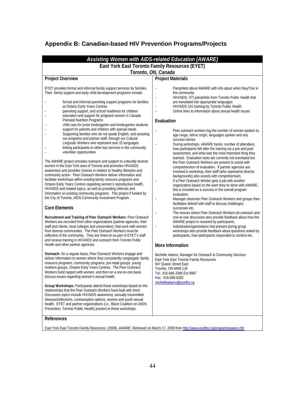## **Appendix B: Canadian-based HIV Prevention Programs/Projects**

| Assisting Women with AIDS-related Education (AWARE)                                                                                                                                                                                                                                                                                                                                                                                                                                                                                                                                                                                                                                                                                                                                                                                                                                                                                                                                                                                                                                                                                                                                                                                                                                                                                                                                                                                                                                                                                                                                                                                                                                                                                                                                                                                                                                                                                                                                                                                                                                                                                                                                                                                                                                                                                                                                                                                                                                                                                                                                                                                                                                                                                                                                                            |                                                                                                                                                                                                                                                                                                                                                                                                                                                                                                                                                                                                                                                                                                                                                                                                                                                                                                                                                                                                                                                                                                                                                                                                                                                                                                                                                                                                                                                                                                                                                                                                                                                                                                                                                                                                                                                                                                        |  |
|----------------------------------------------------------------------------------------------------------------------------------------------------------------------------------------------------------------------------------------------------------------------------------------------------------------------------------------------------------------------------------------------------------------------------------------------------------------------------------------------------------------------------------------------------------------------------------------------------------------------------------------------------------------------------------------------------------------------------------------------------------------------------------------------------------------------------------------------------------------------------------------------------------------------------------------------------------------------------------------------------------------------------------------------------------------------------------------------------------------------------------------------------------------------------------------------------------------------------------------------------------------------------------------------------------------------------------------------------------------------------------------------------------------------------------------------------------------------------------------------------------------------------------------------------------------------------------------------------------------------------------------------------------------------------------------------------------------------------------------------------------------------------------------------------------------------------------------------------------------------------------------------------------------------------------------------------------------------------------------------------------------------------------------------------------------------------------------------------------------------------------------------------------------------------------------------------------------------------------------------------------------------------------------------------------------------------------------------------------------------------------------------------------------------------------------------------------------------------------------------------------------------------------------------------------------------------------------------------------------------------------------------------------------------------------------------------------------------------------------------------------------------------------------------------------------|--------------------------------------------------------------------------------------------------------------------------------------------------------------------------------------------------------------------------------------------------------------------------------------------------------------------------------------------------------------------------------------------------------------------------------------------------------------------------------------------------------------------------------------------------------------------------------------------------------------------------------------------------------------------------------------------------------------------------------------------------------------------------------------------------------------------------------------------------------------------------------------------------------------------------------------------------------------------------------------------------------------------------------------------------------------------------------------------------------------------------------------------------------------------------------------------------------------------------------------------------------------------------------------------------------------------------------------------------------------------------------------------------------------------------------------------------------------------------------------------------------------------------------------------------------------------------------------------------------------------------------------------------------------------------------------------------------------------------------------------------------------------------------------------------------------------------------------------------------------------------------------------------------|--|
| East York East Toronto Family Resources (EYET)                                                                                                                                                                                                                                                                                                                                                                                                                                                                                                                                                                                                                                                                                                                                                                                                                                                                                                                                                                                                                                                                                                                                                                                                                                                                                                                                                                                                                                                                                                                                                                                                                                                                                                                                                                                                                                                                                                                                                                                                                                                                                                                                                                                                                                                                                                                                                                                                                                                                                                                                                                                                                                                                                                                                                                 |                                                                                                                                                                                                                                                                                                                                                                                                                                                                                                                                                                                                                                                                                                                                                                                                                                                                                                                                                                                                                                                                                                                                                                                                                                                                                                                                                                                                                                                                                                                                                                                                                                                                                                                                                                                                                                                                                                        |  |
| Toronto, ON, Canada                                                                                                                                                                                                                                                                                                                                                                                                                                                                                                                                                                                                                                                                                                                                                                                                                                                                                                                                                                                                                                                                                                                                                                                                                                                                                                                                                                                                                                                                                                                                                                                                                                                                                                                                                                                                                                                                                                                                                                                                                                                                                                                                                                                                                                                                                                                                                                                                                                                                                                                                                                                                                                                                                                                                                                                            |                                                                                                                                                                                                                                                                                                                                                                                                                                                                                                                                                                                                                                                                                                                                                                                                                                                                                                                                                                                                                                                                                                                                                                                                                                                                                                                                                                                                                                                                                                                                                                                                                                                                                                                                                                                                                                                                                                        |  |
| <b>Project Overview</b>                                                                                                                                                                                                                                                                                                                                                                                                                                                                                                                                                                                                                                                                                                                                                                                                                                                                                                                                                                                                                                                                                                                                                                                                                                                                                                                                                                                                                                                                                                                                                                                                                                                                                                                                                                                                                                                                                                                                                                                                                                                                                                                                                                                                                                                                                                                                                                                                                                                                                                                                                                                                                                                                                                                                                                                        | <b>Project Materials</b>                                                                                                                                                                                                                                                                                                                                                                                                                                                                                                                                                                                                                                                                                                                                                                                                                                                                                                                                                                                                                                                                                                                                                                                                                                                                                                                                                                                                                                                                                                                                                                                                                                                                                                                                                                                                                                                                               |  |
| EYET provides formal and informal family support services for families.<br>Their family support and early child development programs include:<br>formal and informal parenting support programs for families<br>at Ontario Early Years Centres<br>parenting support, and school readiness for children<br>education and support for pregnant women in Canada<br><b>Prenatal Nutrition Programs</b><br>child care for junior kindergarten and kindergarten students<br>support for parents and children with special needs<br>Supporting families who do not speak English, and assisting<br>our programs and partner staff, through our Cultural<br>Linguistic Workers who represent over 25 languages<br>linking participants to other key services in the community<br>volunteer opportunities<br>The AWARE project provides outreach and support to culturally diverse<br>women in the East York area of Toronto and promotes HIV/AIDS<br>awareness and provides choices in relation to healthy lifestyles and<br>community action. Peer Outreach Workers deliver information and<br>facilitate workshops within existing family resource programs and<br>Ontario Early Years Centres regarding women's reproductive health,<br>HIV/AIDS and related topics, as well as providing referrals and<br>information on existing community programs. This project if funded by<br>the City of Toronto, AIDS Community Investment Program.<br><b>Core Elements</b><br>Recruitment and Training of Peer Outreach Workers: Peer Outreach<br>Workers are recruited from other organizations (partner agencies, their<br>staff and clients, local colleges and universities), that work with women<br>from diverse communities. The Peer Outreach Workers must be<br>reflective of the community. They are hired on as part of EYET's staff<br>and receive training in HIV/AIDS and outreach from Toronto Public<br>Health and other partner agencies.<br><b>Outreach:</b> On a regular basis, Peer Outreach Workers engage and<br>deliver information to women where they consistently congregate: family<br>resource programs, community programs, pre-natal groups, young<br>mothers groups, Ontario Early Years Centres. The Peer Outreach<br>Workers build rapport with women, and then on a one-to-one basis<br>discuss issues regarding women's sexual health.<br>Group Workshops: Participants attend these workshops based on the<br>relationships that the Peer Outreach Workers have built with them.<br>Discussion topics include HIV/AIDS awareness, sexually transmitted<br>diseases/infections, contraception options, women and youth sexual<br>health. EYET and partner organizations (i.e., Black Coalition on AIIDS<br>Prevention, Toronto Public Health) present at these workshops.<br>References | Pamphlets about AWARE with info about when they'll be in<br>the community<br>HIV/AIDS, STI pamphlets from Toronto Public Health that<br>are translated into appropriate languages<br>HIV/AIDS 101 training by Toronto Public Health<br>Online links to information about sexual health issues<br>Evaluation<br>Peer outreach workers log the number of women spoken to,<br>age range, ethnic origin, languages spoken and any<br>success stories.<br>During workshops, AWARE tracks: number of attendees,<br>how participants felt after the training via a pre and post<br>assessment, and what was the most important thing they<br>learned. Evaluation tools are currently not translated but<br>the Peer Outreach Workers are present to assist with<br>comprehension of evaluation. If partner agencies are<br>involved in workshop, their staff (who represents diverse<br>backgrounds) also assists with comprehension.<br>If a Peer Outreach Worker gets a job with another<br>organization based on the work they've done with AWARE,<br>this is included as a success in the overall program<br>evaluation.<br>Manager observes Peer Outreach Workers and groups then<br>facilitates debrief with staff to discuss challenges,<br>successes etc.<br>The venues where Peer Outreach Workers do outreach and<br>one-to-one discussion also provide feedback about how the<br>AWARE project is received by participants.<br>Individuals/organizations that present during group<br>$\overline{\phantom{a}}$<br>workshops also provide feedback about questions asked by<br>participants, how participants responded to content etc.<br>More Information<br>Michelle Adams, Manager for Outreach & Community Services<br>East York East Toronto Family Resources<br>947 Queen Street East<br>Toronto, ON M4M 1J9<br>Tel.: 416-686-3390 Ext 9987<br>Fax: 416-686-8282<br>michelleadams@evetfrp.ca |  |

East York East Toronto Family Resources. (2009). *AWARE*. Retrieved on March 17, 2009 from http://www.eyetfrp.ca/programs/aware.cfm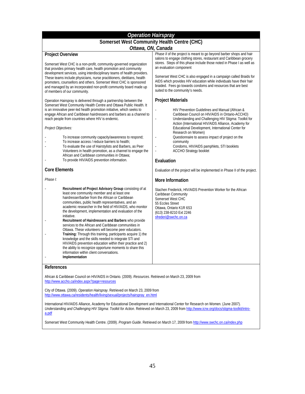| <b>Operation Hairspray</b>                                                                                                                                                                                                                                                                                                                                                                                                                                                                                                                                                                                                                                                                                                                                                                                                                  |                                                                                                                                                                                                                                                                                                                                                                                                                                                                                                                 |  |
|---------------------------------------------------------------------------------------------------------------------------------------------------------------------------------------------------------------------------------------------------------------------------------------------------------------------------------------------------------------------------------------------------------------------------------------------------------------------------------------------------------------------------------------------------------------------------------------------------------------------------------------------------------------------------------------------------------------------------------------------------------------------------------------------------------------------------------------------|-----------------------------------------------------------------------------------------------------------------------------------------------------------------------------------------------------------------------------------------------------------------------------------------------------------------------------------------------------------------------------------------------------------------------------------------------------------------------------------------------------------------|--|
| Somerset West Community Health Centre (CHC)                                                                                                                                                                                                                                                                                                                                                                                                                                                                                                                                                                                                                                                                                                                                                                                                 |                                                                                                                                                                                                                                                                                                                                                                                                                                                                                                                 |  |
| Ottawa, ON, Canada                                                                                                                                                                                                                                                                                                                                                                                                                                                                                                                                                                                                                                                                                                                                                                                                                          |                                                                                                                                                                                                                                                                                                                                                                                                                                                                                                                 |  |
| <b>Project Overview</b><br>Somerset West CHC is a non-profit, community-governed organization<br>that provides primary health care, health promotion and community<br>development services, using interdisciplinary teams of health providers.<br>These teams include physicians, nurse practitioners, dietitians, health<br>promoters, counsellors and others. Somerset West CHC is sponsored<br>and managed by an incorporated non-profit community board made up<br>of members of our community.                                                                                                                                                                                                                                                                                                                                         | Phase II of the project is meant to go beyond barber shops and hair<br>salons to engage clothing stores, restaurant and Caribbean grocery<br>stores. Steps of this phase include those noted in Phase I as well as<br>an evaluation component<br>Somerset West CHC is also engaged in a campaign called Braids for<br>AIDS which provides HIV education while individuals have their hair<br>braided. Fees go towards condoms and resources that are best<br>suited to the community's needs.                   |  |
| Operation Hairspray is delivered through a partnership between the<br>Somerset West Community Health Centre and Ottawa Public Health. It<br>is an innovative peer-led health promotion initiative, which seeks to<br>engage African and Caribbean hairdressers and barbers as a channel to<br>reach people from countries where HIV is endemic.<br>Project Objectives:<br>To increase community capacity/awareness to respond;<br>To increase access / reduce barriers to health;<br>To evaluate the use of Hairstylists and Barbers, as Peer<br>Volunteers in health promotion, as a channel to engage the<br>African and Caribbean communities in Ottawa:<br>To provide HIV/AIDS prevention information.                                                                                                                                  | <b>Project Materials</b><br>HIV Prevention Guidelines and Manual (African &<br>$\blacksquare$<br>Caribbean Council on HIV/AIDS in Ontario-ACCHO)<br>Understanding and Challenging HIV Stigma: Toolkit for<br>Action (International HIV/AIDS Alliance, Academy for<br>Educational Development, International Center for<br>Research on Women)<br>Questionnaire to assess impact of project on the<br>community<br>Condoms, HIV/AIDS pamphlets, STI booklets<br><b>ACCHO Strategy booklet</b><br>÷,<br>Evaluation |  |
| <b>Core Elements</b>                                                                                                                                                                                                                                                                                                                                                                                                                                                                                                                                                                                                                                                                                                                                                                                                                        | Evaluation of the project will be implemented in Phase II of the project.                                                                                                                                                                                                                                                                                                                                                                                                                                       |  |
| Phase I:                                                                                                                                                                                                                                                                                                                                                                                                                                                                                                                                                                                                                                                                                                                                                                                                                                    | <b>More Information</b>                                                                                                                                                                                                                                                                                                                                                                                                                                                                                         |  |
| Recruitment of Project Advisory Group consisting of at<br>least one community member and at least one<br>hairdresser/barber from the African or Caribbean<br>communities, public health representatives, and an<br>academic researcher in the field of HIV/AIDS, who monitor<br>the development, implementation and evaluation of the<br>initiative.<br>Recruitment of Hairdressers and Barbers who provide<br>services to the African and Caribbean communities in<br>Ottawa. These volunteers will become peer educators.<br>Training: Through this training, participants acquire 1) the<br>knowledge and the skills needed to integrate STI and<br>HIV/AIDS prevention education within their practice and 2)<br>the ability to recognize opportune moments to share this<br>information within client conversations.<br>Implementation | Stachen Frederick, HIV/AIDS Prevention Worker for the African<br>Caribbean Community<br>Somerset West CHC<br>55 Eccles Street<br>Ottawa, Ontario K1R 6S3<br>(613) 238-8210 Ext 2246<br>sfrederi@swchc.on.ca                                                                                                                                                                                                                                                                                                     |  |
|                                                                                                                                                                                                                                                                                                                                                                                                                                                                                                                                                                                                                                                                                                                                                                                                                                             |                                                                                                                                                                                                                                                                                                                                                                                                                                                                                                                 |  |

### **References**

African & Caribbean Council on HIV/AIDS in Ontario. (2009). *Resources*. Retrieved on March 23, 2009 from http://www.accho.ca/index.aspx?page=resources

City of Ottawa. (2009). *Operation Hairspray*. Retrieved on March 23, 2009 from http://www.ottawa.ca/residents/health/living/sexual/projects/hairspray\_en.html

International HIV/AIDS Alliance, Academy for Educational Development and International Center for Research on Women. (June 2007). *Understanding and Challenging HIV Stigma: Toolkit for Action*. Retrieved on March 23, 2009 from http://www.icrw.org/docs/stigma-toolkit/introa.pdf

Somerset West Community Health Centre. (2009). *Program Guide*. Retrieved on March 17, 2009 from http://www.swchc.on.ca/index.php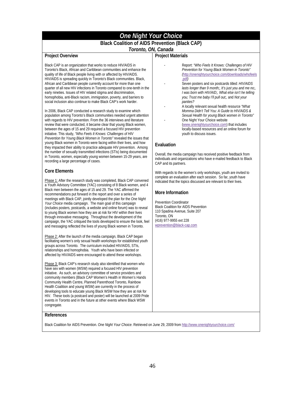## *One Night Your Choice*

### **Black Coalition of AIDS Prevention (Black CAP)**

### *Toronto, ON, Canada*

### **Project Overview**

Black CAP is an organization that works to reduce HIV/AIDS in Toronto's Black, African and Caribbean communities and enhance the quality of life of Black people living with or affected by HIV/AIDS. HIV/AIDS is spreading quickly in Toronto's Black communities. Black, African and Caribbean people currently account for more than one quarter of all new HIV infections in Toronto compared to one-tenth in the early nineties. Issues of HIV related stigma and discrimination, homophobia, anti-Black racism, immigration, poverty, and barriers to social inclusion also continue to make Black CAP's work harder.

In 2006, Black CAP conducted a research study to examine which population among Toronto's Black communities needed urgent attention with regards to HIV prevention. From the 36 interviews and literature review that were conducted, it became clear that young Black women, between the ages of 15 and 29 required a focused HIV prevention initiative. This study, *"Who Feels It Knows: Challenges of HIV Prevention for Young Black Women in Toronto"* revealed the issues that young Black women in Toronto were facing within their lives, and how they impacted their ability to practice adequate HIV prevention. Among the number of sexually transmitted infections (STIs) being documented in Toronto, women, especially young women between 15-29 years, are recording a large percentage of cases.

### **Core Elements**

Phase 1: After the research study was completed, Black CAP convened a Youth Advisory Committee (YAC) consisting of 8 Black women, and 4 Black men between the ages of 15 and 29. The YAC affirmed the recommendations put forward in the report and over a series of meetings with Black CAP, jointly developed the plan for the *One Night Your Choice* media campaign. The main goal of this campaign (includes posters, postcards, a website and online forum) was to reveal to young Black women how they are at risk for HIV within their lives through innovative messaging. Throughout the development of the campaign, the YAC critiqued the tools developed to ensure the look, feel and messaging reflected the lives of young Black women in Toronto.

Phase 2: After the launch of the media campaign, Black CAP began facilitating women's only sexual health workshops for established youth groups across Toronto. The curriculum included HIV/AIDS, STIs, relationships and homophobia. Youth who have been infected or affected by HIV/AIDS were encouraged to attend these workshops.

Phase 3: Black CAP's research study also identified that women who have sex with women (WSW) required a focused HIV prevention initiative. As such, an advisory committee of service providers and community members (Black CAP Women's Health in Women's Hands Community Health Centre, Planned Parenthood Toronto, Rainbow Health Coalition and young WSW) are currently in the process of developing tools to educate young Black WSW how they are at risk for HIV. These tools (a postcard and poster) will be launched at 2009 Pride events in Toronto and in the future at other events where Black WSW congregate.

### **Project Materials**

- Report: *"Who Feels It Knows: Challenges of HIV Prevention for Young Black Women in Toronto" (*http://onenightyourchoice.com/downloads/whofeels .pdf*)*
- Seven posters and six postcards titled: *HIV/AIDS lasts longer than 9 month;, It's just you and me no;, I was born with HIV/AID;, What else isn't he telling you; Trust me baby I'll pull out;,* and *Not your panties?*
- A locally relevant sexual health resource *"What Momma Didn't Tell You: A Guide to HIV/AIDS & Sexual Health for young Black women in Toronto"*  One Night Your Choice website
	- (www.onenightyourchoice.com) that includes locally-based resources and an online forum for youth to discuss issues.

### **Evaluation**

Overall, the media campaign has received positive feedback from individuals and organizations who have e-mailed feedback to Black CAP and its partners.

With regards to the women's only workshops, youth are invited to complete an evaluation after each session. So far, youth have indicated that the topics discussed are relevant to their lives.

### **More Information**

Prevention Coordinator Black Coalition for AIDS Prevention 110 Spadina Avenue, Suite 207 Toronto, ON (416) 977-9955 ext 228 wprevention@black-cap.com

#### **References**

Black Coalition for AIDS Prevention. *One Night Your Choice*. Retrieved on June 29, 2009 from http://www.onenightyourchoice.com/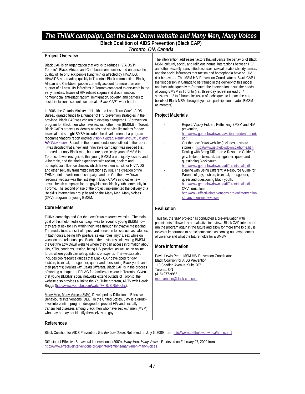## *The THINK campaign, Get the Low Down website and Many Men, Many Voices*

## **Black Coalition of AIDS Prevention (Black CAP)**

### *Toronto, ON, Canada*

### **Project Overview**

Black CAP is an organization that works to reduce HIV/AIDS in Toronto's Black, African and Caribbean communities and enhance the quality of life of Black people living with or affected by HIV/AIDS. HIV/AIDS is spreading quickly in Toronto's Black communities. Black, African and Caribbean people currently account for more than one quarter of all new HIV infections in Toronto compared to one-tenth in the early nineties. Issues of HIV related stigma and discrimination, homophobia, anti-Black racism, immigration, poverty, and barriers to social inclusion also continue to make Black CAP's work harder.

In 2006, the Ontario Ministry of Health and Long-Term Care's AIDS Bureau granted funds to a number of HIV prevention strategies in the province. Black CAP was chosen to develop a targeted HIV prevention program for Black men who have sex with other men (BMSM) in Toronto Black CAP's process to identify needs and service limitations for gay, bisexual and straight BMSM included the development of a program recommendations report entitled *Visibly Hidden: Rethinking BMSM and HIV Prevention* . Based on the recommendations outlined in the report, it was decided that a new and innovative campaign was needed that targeted not only Black men, but more specifically young BMSM in Toronto. It was recognized that young BMSM are uniquely located and vulnerable, and that their experience with racism, ageism and homophobia influence choices which leave them at risk for HIV/AIDS and other sexually transmitted infections (STIs). The creation of the THINK print advertisement campaign and the Get the Low Down resource website was the first step in Black CAP's innovative new sexual health campaign for the gay/bisexual black youth community in Toronto. The second phase of the project implemented the delivery of a life skills intervention group based on the Many Men, Many Voices (3MV) program for young BMSM.

### **Core Elements**

THINK campaign and Get the Low Down resource website: The main goal of this multi-media campaign was to reveal to young BMSM how they are at risk for HIV within their lives through innovative messaging. The media tools consist of a postcard series on topics such as safe sex in bathhouses, being HIV positive, sexual roles, myths, sex while on vacation and relationships. Each of the postcards links young BMSM to the Get the Low Down website where they can access information about HIV, STIs, condoms, testing, being HIV positive, as well as an online forum where youth can ask questions of experts. The website also includes two resource guides that Black CAP developed for gay, lesbian, bisexual, transgender, queer and questioning Black youth and their parents; *Dealing with Being Different*. Black CAP is in the process of starting a chapter of PFLAG for families of colour in Toronto. Given that young BMSMs' social networks extend outside of Toronto, the website also provides a link to the YouTube program, ADTV with Derek Briggs (http://www.youtube.com/watch?v=BzBtRb9pghc).

Many Men, Many Voices (3MV): Developed by Diffusion of Effective Behavioural Interventions (DEBI) in the United States, 3MV is a grouplevel intervention program designed to prevent HIV and sexually transmitted diseases among Black men who have sex with men (MSM) who may or may not identify themselves as gay.

The intervention addresses factors that influence the behavior of Black MSM: cultural, social, and religious norms; interactions between HIV and other sexually transmitted diseases; sexual relationship dynamics; and the social influences that racism and homophobia have on HIV risk behaviors. The MSM HIV Prevention Coordinator at Black CAP is the first person in Canada to be trained in the delivery of this model and has subsequently re-formatted the intervention to suit the needs of young BMSM in Toronto (i.e., three-day retreat instead of 7 sessions of 2 to 3 hours; inclusion of techniques to impact the core beliefs of Black MSM through hypnosis; participation of adult BMSM as mentors).

### **Project Materials**

- Report: Visibly Hidden: Rethinking BMSM and HIV prevention, http://www.getthelowdown.ca/visibly\_hidden\_report.
	- pdf
- Get the Low Down website (includes postcard stories), http://www.getthelowdown.ca/home.html
- Dealing with Being Different: A Resource Guide for gay, lesbian, bisexual, transgender, queer and questioning Black youth,
- http://www.getthelowdown.ca/differentsmall.pdf - Dealing with Being Different: A Resource Guide for Parents of gay, lesbian, bisexual, transgender, queer and questioning Black youth, http://www.getthelowdown.ca/differentsmall.pdf
- 3MV curriculum: http://www.effectiveinterventions.org/go/intervention s/many-men-many-voices

### **Evaluation**

Thus far, the 3MV project has conducted a pre-evaluation with participants followed by a qualitative interview. Black CAP intends to run the program again in the future and allow for more time to discuss topics of importance to participants such as coming out, experiences of violence and what the future holds for a BMSM.

### **More Information**

David Lewis-Peart, MSM HIV Prevention Coordinator Black Coalition for AIDS Prevention 110 Spadina Avenue, Suite 207 Toronto, ON (416) 977-9955 mprevention@black-cap.com

### **References**

Black Coalition for AIDS Prevention. *Get the Low Down*. Retrieved on July 6, 2009 from http://www.getthelowdown.ca/home.html

Diffusion of Effective Behavioral Interventions. (2009). *Many Men, Many Voices.* Retrieved on February 27, 2009 from http://www.effectiveinterventions.org/go/interventions/many-men-many-voices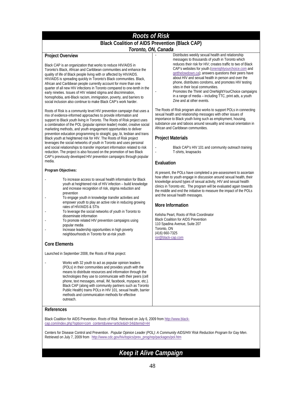## *Roots of Risk*

### **Black Coalition of AIDS Prevention (Black CAP)**

### *Toronto, ON, Canada*

### **Project Overview**

Black CAP is an organization that works to reduce HIV/AIDS in Toronto's Black, African and Caribbean communities and enhance the quality of life of Black people living with or affected by HIV/AIDS. HIV/AIDS is spreading quickly in Toronto's Black communities. Black, African and Caribbean people currently account for more than one quarter of all new HIV infections in Toronto compared to one-tenth in the early nineties. Issues of HIV related stigma and discrimination, homophobia, anti-Black racism, immigration, poverty, and barriers to social inclusion also continue to make Black CAP's work harder.

Roots of Risk is a community level HIV prevention campaign that uses a mix of evidence-informed approaches to provide information and support to Black youth living in Toronto. The Roots of Risk project uses a combination of the POL (popular opinion leader) model, creative social marketing methods, and youth engagement opportunities to deliver prevention education programming to straight, gay, bi, lesbian and trans Black youth at heightened risk for HIV. The Roots of Risk project leverages the social networks of youth in Toronto and uses personal and social relationships to transfer important information related to risk reduction. The project is also focused on the promotion of two Black CAP's previously developed HIV prevention campaigns through popular media.

### **Program Objectives:**

- To increase access to sexual health information for Black youth at heightened risk of HIV infection – build knowledge and increase recognition of risk, stigma reduction and prevention
- To engage youth in knowledge transfer activities and empower youth to play an active role in reducing growing rates of HIV/AIDS & STIs
- To leverage the social networks of youth in Toronto to disseminate information
- To promote related HIV prevention campaigns using popular media
- Increase leadership opportunities in high poverty neighbourhoods in Toronto for at-risk youth

### **Core Elements**

Launched in September 2008, the Roots of Risk project:

Works with 32 youth to act as popular opinion leaders (POLs) in their communities and provides youth with the means to distribute resources and information through the technologies they use to communicate with their peers (cell phone, text messages, email, IM, facebook, myspace, etc.). Black CAP (along with community partners such as Toronto Public Health) trains POLs in HIV 101, sexual health, barrier methods and communication methods for effective outreach.

### **References**

Black Coalition for AIDS Prevention. *Roots of Risk*. Retrieved on July 6, 2009 from http://www.blackcap.com/index.php?option=com\_content&view=article&id=34&Itemid=44

Centers for Disease Control and Prevention. *Popular Opinion Leader (POL): A Community AIDS/HIV Risk Reduction Program for Gay Men*. Retrieved on July 7, 2009 from http://www.cdc.gov/hiv/topics/prev\_prog/rep/packages/pol.htm

## *Keep it Alive Campaign*

Distributes weekly sexual health and relationship messages to thousands of youth in Toronto which reduces their risk for HIV; creates traffic to two of Black CAP's websites for youth (onenightyourchoice.com and getthelowdown.ca); answers questions their peers have about HIV and sexual health in person and over the phone, distributes condoms, and promotes HIV testing sites in their local communities.

Promotes the Think! and OneNightYourChoice campaigns in a range of media – including TTC, print ads, a youth Zine and at other events.

The Roots of Risk program also works to support POLs in connecting sexual health and relationship messages with other issues of importance to Black youth living such as employment, housing, substance use and taboos around sexuality and sexual orientation in African and Caribbean communities.

### **Project Materials**

Black CAP's HIV 101 and community outreach training T-shirts, knapsacks

### **Evaluation**

At present, the POLs have completed a pre-assessment to ascertain how often to youth engage in discussion around sexual health, their knowledge around types of sexual activity, HIV and sexual health clinics in Toronto etc. The program will be evaluated again towards the middle and end the initiative to measure the impact of the POLs and the sexual health messages.

### **More Information**

Kelisha Peart, Roots of Risk Coordinator Black Coalition for AIDS Prevention 110 Spadina Avenue, Suite 207 Toronto, ON (416) 660-7325 ror@black-cap.com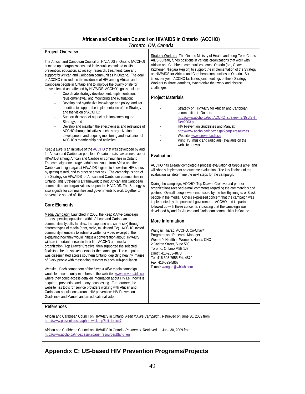### **African and Caribbean Council on HIV/AIDS in Ontario (ACCHO)**  *Toronto, ON, Canada*

### **Project Overview**

The African and Caribbean Council on HIV/AIDS in Ontario (ACCHO) is made up of organizations and individuals committed to HIV prevention, education, advocacy, research, treatment, care and support for African and Caribbean communities in Ontario. The goal of ACCHO is to reduce the incidence of HIV among African and Caribbean people in Ontario and to improve the quality of life for those infected and affected by HIV/AIDS. ACCHO's goals include:

- − Coordinate strategy development, implementation, revision/renewal, and monitoring and evaluation;
- Develop and synthesize knowledge and policy, and set priorities to support the implementation of the Strategy and the vision of ACCHO;
- Support the work of agencies in implementing the Strategy; and
- Develop and maintain the effectiveness and relevance of ACCHO through initiatives such as organizational development, and ongoing monitoring and evaluation of ACCHO's membership and activities.

*Keep it alive* is an initiative of the ACCHO that was developed by and for African and Caribbean people in Ontario to raise awareness about HIV/AIDS among African and Caribbean communities in Ontario. The campaign encourages adults and youth from Africa and the Caribbean to fight against HIV/AIDS stigma, to know their HIV status by getting tested, and to practice safer sex. The campaign is part of the Strategy on HIV/AIDS for African and Caribbean communities in Ontario. This Strategy is a framework to help African and Caribbean communities and organizations respond to HIV/AIDS. The Strategy is also a guide for communities and governments to work together to prevent the spread of HIV.

### **Core Elements**

Media Campaign: Launched in 2006, the *Keep it Alive* campaign targets specific populations within African and Caribbean communities (youth, families, francophone and same sex) through different types of media (print, radio, music and TV). ACCHO invited community members to submit a written or video excerpt of them explaining how they would initiate a conversation about HIV/AIDS with an important person in their life. ACCHO and media organization, Top Drawer Creative, then supported the selected finalists to be the spokesperson for the campaign. The campaign was disseminated across southern Ontario, depicting healthy images of Black people with messaging relevant to each sub-population.

Website: Each component of the *Keep it Alive* media campaign would lead community members to the website, www.preventaids.ca where they could access detailed information about HIV i.e., how it is acquired, prevention and anonymous testing. Furthermore, the website has tools for service providers working with African and Caribbean populations around HIV prevention: HIV Prevention Guidelines and Manual and an educational video.

Strategy Workers: The Ontario Ministry of Health and Long-Term Care's AIDS Bureau, funds positions in various organizations that work with African and Caribbean communities across Ontario (i.e., Ottawa, Kitchener, Niagara Region) to support the implementation of the Strategy on HIV/AIDS for African and Caribbean communities in Ontario. Six times per year, ACCHO facilitates joint meetings of these Strategy Workers to share learnings, synchronize their work and discuss challenges.

### **Project Materials**

- Strategy on HIV/AIDS for African and Caribbean communities in Ontario: http://www.accho.ca/pdf/ACCHO\_strategy\_ENGLISH\_ Dec2003.pdf
- HIV Prevention Guidelines and Manual: http://www.accho.ca/index.aspx?page=resources
- Website: www.preventaids.ca
- Print, TV, music and radio ads (available on the website above)

### **Evaluation**

ACCHO has already completed a process evaluation of *Keep it alive*, and will shortly implement an outcome evaluation. The key findings of the evaluation will determine the next steps for the campaign.

During the campaign, ACCHO, Top Drawer Creative and partner organizations received e-mail comments regarding the commercials and posters. Overall, people were impressed by the healthy images of Black people in the media. Others expressed concern that the campaign was implemented by the provincial government. ACCHO and its partners followed up with these concerns, indicating that the campaign was developed by and for African and Caribbean communities in Ontario.

### **More Information**

Wangari Tharao, ACCHO, Co-Chair/ Programs and Research Manager Women's Health in Women's Hands CHC 2 Carlton Street, Suite 500 Toronto, Ontario M5B 1J3 Direct: 416-263-4870 Tel: 416-593-7655 Ext. 4870 Fax: 416-593-5867 E-mail: wangari@whiwh.com

### **References**

African and Caribbean Council on HIV/AIDS in Ontario. *Keep it Alive Campaign* . Retrieved on June 30, 2009 from http://www.preventaids.ca/photowall.asp?init\_topic=7

African and Caribbean Council on HIV/AIDS in Ontario. *Resources*. Retrieved on June 30, 2009 from http://www.accho.ca/index.aspx?page=resources&lang=en

## **Appendix C: US-based HIV Prevention Programs/Projects**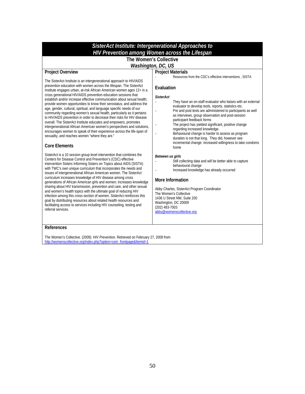| SisterAct Institute: Intergenerational Approaches to<br>HIV Prevention among Women across the Lifespan                                                                                                                                                                                                                                                                                                                                                                                                                                                                                                                                                                                                                                                                                                                                                                                                                                                                 |                                                                                                                                                                                                                                                                                                                                                                                                                                                                                                                                                                                                                                             |  |
|------------------------------------------------------------------------------------------------------------------------------------------------------------------------------------------------------------------------------------------------------------------------------------------------------------------------------------------------------------------------------------------------------------------------------------------------------------------------------------------------------------------------------------------------------------------------------------------------------------------------------------------------------------------------------------------------------------------------------------------------------------------------------------------------------------------------------------------------------------------------------------------------------------------------------------------------------------------------|---------------------------------------------------------------------------------------------------------------------------------------------------------------------------------------------------------------------------------------------------------------------------------------------------------------------------------------------------------------------------------------------------------------------------------------------------------------------------------------------------------------------------------------------------------------------------------------------------------------------------------------------|--|
| The Women's Collective                                                                                                                                                                                                                                                                                                                                                                                                                                                                                                                                                                                                                                                                                                                                                                                                                                                                                                                                                 |                                                                                                                                                                                                                                                                                                                                                                                                                                                                                                                                                                                                                                             |  |
| <b>Project Overview</b>                                                                                                                                                                                                                                                                                                                                                                                                                                                                                                                                                                                                                                                                                                                                                                                                                                                                                                                                                | Washington, DC, US<br><b>Project Materials</b>                                                                                                                                                                                                                                                                                                                                                                                                                                                                                                                                                                                              |  |
| The SisterAct Institute is an intergenerational approach to HIV/AIDS<br>prevention education with women across the lifespan. The SisterAct<br>Institute engages urban, at-risk African American women ages 12+ in a<br>cross generational HIV/AIDS prevention education sessions that<br>establish and/or increase effective communication about sexual health:<br>provide women opportunities to know their serostatus; and address the<br>age, gender, cultural, spiritual, and language specific needs of our<br>community regarding women's sexual health, particularly as it pertains<br>to HIV/AIDS prevention in order to decrease their risks for HIV disease<br>overall. The SisterAct Institute educates and empowers, promotes<br>intergenerational African American women's perspectives and solutions,<br>encourages women to speak of their experience across the life-span of<br>sexuality, and reaches women "where they are."<br><b>Core Elements</b> | Resources from the CDC's effective interventions, SISTA<br>Evaluation<br><b>SisterAct</b><br>They have an on-staff evaluator who liaises with an external<br>evaluator to develop tools, reports, statistics etc.<br>Pre and post tests are administered to participants as well<br>as interviews, group observation and post-session<br>participant feedback forms<br>The project has yielded significant, positive change<br>regarding increased knowledge.<br>Behavioural change is harder to assess as program<br>duration is not that long. They did, however see<br>incremental change: increased willingness to take condoms<br>home |  |
| SisterAct is a 10 session group level intervention that combines the<br>Centers for Disease Control and Prevention's (CDC) effective<br>intervention Sisters Informing Sisters on Topics about AIDS (SISTA)<br>with TWC's own unique curriculum that incorporates the needs and<br>issues of intergenerational African American women. The SisterAct<br>curriculum increases knowledge of HIV disease among cross<br>generations of African American girls and women; increases knowledge<br>sharing about HIV transmission, prevention and care, and other sexual<br>and women's health topics with the ultimate goal of reducing HIV<br>infection among this cross section of women. SisterAct reinforces this<br>goal by distributing resources about related health resources and<br>facilitating access to services including HIV counseling, testing and<br>referral services.                                                                                   | Between us girls<br>Still collecting data and will be better able to capture<br>behavioural change<br>Increased knowledge has already occurred<br>More Information<br>Abby Charles, SisterAct Program Coordinator<br>The Women's Collective<br>1436 U Street NW, Suite 200<br>Washington, DC 20009<br>$(202)$ 483-7003<br>abby@womenscollective.org                                                                                                                                                                                                                                                                                         |  |
| <b>References</b>                                                                                                                                                                                                                                                                                                                                                                                                                                                                                                                                                                                                                                                                                                                                                                                                                                                                                                                                                      |                                                                                                                                                                                                                                                                                                                                                                                                                                                                                                                                                                                                                                             |  |
| The Women's Collective. (2009). HIV Prevention. Retrieved on February 27, 2009 from<br>http://womenscollective.org/index.php?option=com_frontpage&Itemid=1                                                                                                                                                                                                                                                                                                                                                                                                                                                                                                                                                                                                                                                                                                                                                                                                             |                                                                                                                                                                                                                                                                                                                                                                                                                                                                                                                                                                                                                                             |  |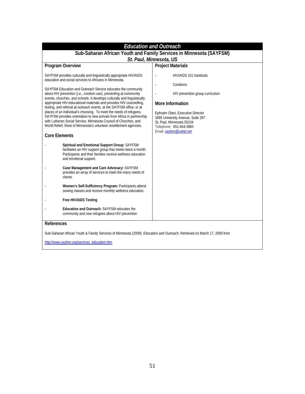| <b>Education and Outreach</b>                                                                                                                                                                                                                                                                                                                                                                                                                                                                                                                                                                                                                                                                                                                                                                                                                                                                                                                                                                                                                                                                                                                                                                                                                                                                                                                                                             |                                                                                                                                                                                                                                                      |  |  |
|-------------------------------------------------------------------------------------------------------------------------------------------------------------------------------------------------------------------------------------------------------------------------------------------------------------------------------------------------------------------------------------------------------------------------------------------------------------------------------------------------------------------------------------------------------------------------------------------------------------------------------------------------------------------------------------------------------------------------------------------------------------------------------------------------------------------------------------------------------------------------------------------------------------------------------------------------------------------------------------------------------------------------------------------------------------------------------------------------------------------------------------------------------------------------------------------------------------------------------------------------------------------------------------------------------------------------------------------------------------------------------------------|------------------------------------------------------------------------------------------------------------------------------------------------------------------------------------------------------------------------------------------------------|--|--|
| Sub-Saharan African Youth and Family Services in Minnesota (SAYFSM)<br>St. Paul, Minnesota, US                                                                                                                                                                                                                                                                                                                                                                                                                                                                                                                                                                                                                                                                                                                                                                                                                                                                                                                                                                                                                                                                                                                                                                                                                                                                                            |                                                                                                                                                                                                                                                      |  |  |
| Program Overview                                                                                                                                                                                                                                                                                                                                                                                                                                                                                                                                                                                                                                                                                                                                                                                                                                                                                                                                                                                                                                                                                                                                                                                                                                                                                                                                                                          | <b>Project Materials</b>                                                                                                                                                                                                                             |  |  |
| SAYFSM provides culturally and linguistically appropriate HIV/AIDS<br>education and social services to Africans in Minnesota.<br>SAYFSM Education and Outreach Service educates the community<br>about HIV prevention (i.e., condom use), presenting at community<br>events, churches, and schools. It develops culturally and linguistically<br>appropriate HIV-educational materials and provides HIV counselling,<br>testing, and referral at outreach events, at the SAYFSM office, or at<br>places of an individual's choosing. To meet the needs of refugees,<br>SAYFSM provides orientation to new arrivals from Africa in partnership<br>with Lutheran Social Service, Minnesota Council of Churches, and<br>World Relief, three of Minnesota's volunteer resettlement agencies.<br><b>Core Elements</b><br>Spiritual and Emotional Support Group: SAYFSM<br>facilitates an HIV support group that meets twice a month.<br>Participants and their families receive wellness education<br>and emotional support.<br>Case Management and Care Advocacy: SAYFSM<br>provides an array of services to meet the many needs of<br>clients.<br>Women's Self-Sufficiency Program: Participants attend<br>sewing classes and receive monthly wellness education.<br>Free HIV/AIDS Testing<br>Education and Outreach: SAYFSM educates the<br>community and new refugees about HIV prevention | HIV/AIDS 101 handouts<br>Condoms<br>HIV prevention group curriculum<br>More Information<br>Ephraim Olani, Executive Director<br>1885 University Avenue, Suite 297<br>St. Paul. Minnesota 55104<br>Telephone: 651-644-3983<br>Email: sayfsm@uskid.net |  |  |
| References                                                                                                                                                                                                                                                                                                                                                                                                                                                                                                                                                                                                                                                                                                                                                                                                                                                                                                                                                                                                                                                                                                                                                                                                                                                                                                                                                                                |                                                                                                                                                                                                                                                      |  |  |
| Sub-Saharan African Youth & Family Services of Minnesota (2009). Education and Outreach. Retrieved on March 17, 2009 from                                                                                                                                                                                                                                                                                                                                                                                                                                                                                                                                                                                                                                                                                                                                                                                                                                                                                                                                                                                                                                                                                                                                                                                                                                                                 |                                                                                                                                                                                                                                                      |  |  |
| http://www.sayfsm.org/services_education.htm                                                                                                                                                                                                                                                                                                                                                                                                                                                                                                                                                                                                                                                                                                                                                                                                                                                                                                                                                                                                                                                                                                                                                                                                                                                                                                                                              |                                                                                                                                                                                                                                                      |  |  |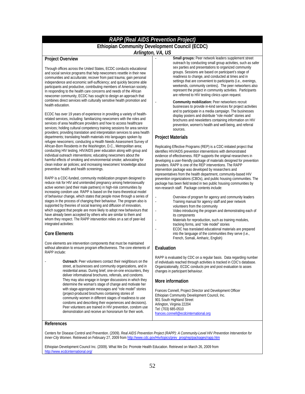## *RAPP (Real AIDS Prevention Project)*

## **Ethiopian Community Development Council (ECDC)**

*Arlington, VA, US* 

### **Project Overview**

Through offices across the United States, ECDC conducts educational and social service programs that help newcomers resettle in their new communities and acculturate; recover from past trauma; gain personal independence and economic self-sufficiency; and quickly become able participants and productive, contributing members of American society. In responding to the health care concerns and needs of the African newcomer community, ECDC has sought to design an approach that combines direct services with culturally sensitive health promotion and health education.

ECDC has over 19 years of experience in providing a variety of healthrelated services, including: familiarizing newcomers with the roles and services of area healthcare providers and how to access healthcare services; holding cultural competency training sessions for area service providers; providing translation and interpretation services to area health departments; translating health materials into languages spoken by refugee newcomers; conducting a Health Needs Assessment Survey of African-Born Residents in the Washington, D.C., Metropolitan area; conducting HIV testing, HIV/AIDS peer education along with group and individual outreach interventions; educating newcomers about the harmful effects of smoking and environmental smoke; advocating for clean indoor air policies; and increasing newcomers' knowledge about preventive health and health screenings.

RAPP is a CDC-funded, community mobilization program designed to reduce risk for HIV and unintended pregnancy among heterosexually active women (and their male partners) in high-risk communities by increasing condom use. RAPP is based on the trans-theoretical model of behaviour change, which states that people move through a series of stages in the process of changing their behaviour. The program also is supported by theories of social learning and diffusion of innovation, which suggest that people are more likely to adopt new behaviours that have already been accepted by others who are similar to them and whom they respect. The RAPP intervention relies on a set of peer-led integrated activities:

### **Core Elements**

Core elements are intervention components that must be maintained without alteration to ensure program effectiveness. The core elements of RAPP include:

- **Outreach**: Peer volunteers contact their neighbours on the street, at businesses and community organizations, and in residential areas. During brief, one-on-one encounters, they deliver informational brochures, referrals, and condoms. They may also engage in longer discussions in which they determine the woman's stage of change and motivate her with stage-appropriate messages and "role model" stories (project-produced brochures containing stories of community women in different stages of readiness to use condoms and describing their experiences and decisions). Peer volunteers are trained in HIV prevention, condom use demonstration and receive an honorarium for their work.

- Small groups: Peer network leaders supplement street outreach by conducting small group activities, such as safer sex parties and presentations to organized community groups. Sessions are based on participant's stage of readiness to change, and conducted at times and in settings that are convenient to participants (i.e., evenings, weekends, community centres). The peer networkers also represent the project in community activities. Participants are referred to HIV testing clinics upon request.
- **Community mobilization:** Peer networkers recruit businesses to provide in-kind services for project activities and to participate in a media campaign. The businesses display posters and distribute "role model" stories and brochures and newsletters containing information on HIV prevention, women's health and well-being, and referral sources.

### **Project Materials**

Replicating Effective Programs (REP) is a CDC-initiated project that identifies HIV/AIDS prevention interventions with demonstrated evidence of effectiveness. REP supports the original researchers in developing a user-friendly package of materials designed for prevention providers. RAPP is one of the REP interventions. The RAPP intervention package was developed by researchers and representatives from the health department, community-based HIV prevention organizations (CBOs), and public housing communities. The package has been field tested in two public housing communities by non-research staff. Package contents include:

- Overview of program for agency and community leaders<br>- Training manual for agency staff and peer network
- Training manual for agency staff and peer network volunteers from the community
- Video introducing the program and demonstrating each of its components
- Materials for reproduction, such as training modules, tracking forms, and "role model" stories
- ECDC has translated educational materials are prepared into the language of the communities they serve (i.e., French, Somali, Amharic, English)

### **Evaluation**

RAPP is evaluated by CDC on a regular basis. Data regarding number of individuals reached through activities is tracked in CDC's database. Organizationally, ECDC conducts pre and post evaluation to asses changes in participant behaviour.

### **More information**

Frances Connell, Project Director and Development Officer Ethiopian Community Development Council, Inc. 901 South Highland Street Arlington, Virginia 22204 Tel: (703) 685-0510 frances.connell@ecdcinternational.org

### **References**

Centers for Disease Control and Prevention. (2009). *Real AIDS Prevention Project (RAPP): A Community-Level HIV Prevention Intervention for Inner-City Women.* Retrieved on February 27, 2009 from http://www.cdc.gov/Hiv/topics/prev\_prog/rep/packages/rapp.htm

Ethiopian Development Council Inc. (2009). What We Do: Promote Health Education. Retrieved on March 26, 2009 from http://www.ecdcinternational.org/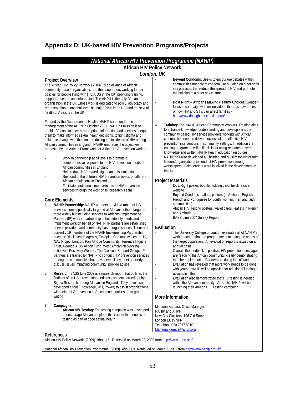## **Appendix D: UK-based HIV Prevention Programs/Projects**

| National African HIV Prevention Programme (NAHIP)<br><b>African HIV Policy Network</b>                                                                                                                                                                                                                                                                                                                                                                                                                                                                                                                                                                                                                                                                                                                                                                                                                                                              |                                                                                                                                                                                                                                                                                                                                                                                                                                                                                                                                                                                                                                                                                                                                                                                        |  |  |
|-----------------------------------------------------------------------------------------------------------------------------------------------------------------------------------------------------------------------------------------------------------------------------------------------------------------------------------------------------------------------------------------------------------------------------------------------------------------------------------------------------------------------------------------------------------------------------------------------------------------------------------------------------------------------------------------------------------------------------------------------------------------------------------------------------------------------------------------------------------------------------------------------------------------------------------------------------|----------------------------------------------------------------------------------------------------------------------------------------------------------------------------------------------------------------------------------------------------------------------------------------------------------------------------------------------------------------------------------------------------------------------------------------------------------------------------------------------------------------------------------------------------------------------------------------------------------------------------------------------------------------------------------------------------------------------------------------------------------------------------------------|--|--|
| London, UK                                                                                                                                                                                                                                                                                                                                                                                                                                                                                                                                                                                                                                                                                                                                                                                                                                                                                                                                          |                                                                                                                                                                                                                                                                                                                                                                                                                                                                                                                                                                                                                                                                                                                                                                                        |  |  |
| <b>Project Overview</b><br>The African HIV Policy Network (AHPN) is an alliance of African<br>community-based organisations and their supporters working for fair<br>policies for people living with HIV/AIDS in the UK, providing training,<br>support, research and information. The AHPN is the only African<br>organisation in the UK whose work is dedicated to policy, advocacy and<br>representation at national level. Its major focus is on HIV and the sexual<br>health of Africans in the UK.                                                                                                                                                                                                                                                                                                                                                                                                                                            | Beyond Condoms: Seeks to encourage debates within<br>L.<br>communities not only of condom use but also on other safer<br>sex practices that reduce the spread of HIV and promote<br>the building of a safer sex culture.<br>Do it Right - Africans Making Healthy Choices: Gender-<br>focused campaign with online videos that raise awareness<br>of how HIV and STIs can affect families -<br>http://www.doitright.uk.com/kobana/                                                                                                                                                                                                                                                                                                                                                     |  |  |
| Funded by the Department of Health, NAHIP came under the<br>management of the AHPN in October 2001. NAHIP's mission is to<br>enable Africans to access appropriate information and services to equip<br>them to make informed sexual health decisions, to fight stigma and<br>influence change with the aim of reducing the incidence of HIV among<br>African communities in England. NAHIP embraces the objectives<br>proposed by the African Framework for African HIV prevention work to:<br>Work in partnership at all levels to promote a<br>comprehensive response to the HIV prevention needs of<br>African communities in England;<br>Help reduce HIV-related stigma and discrimination;<br>Respond to the different HIV prevention needs of different<br>African populations in England.<br>Facilitate continuous improvements to HIV prevention<br>services through the work of its Research Team                                         | Training: The NAHIP African Community Workers' Training aims<br>4.<br>to enhance knowledge, understanding and develop skills that<br>community based HIV service providers working with African<br>communities need to deliver successful and effective HIV<br>prevention interventions in community settings. In addition the<br>training programme will build skills for using research-based<br>knowledge and written NAHIP health education resources.<br>NAHIP has also developed a Christian and Muslim toolkit for faith<br>leaders/organizations to conduct HIV prevention among<br>worshippers. Faith leaders were involved in the development of<br>this tool.<br><b>Project Materials</b><br>Do it Right poster, booklet, folding card, helpline care,<br>website           |  |  |
| <b>Core Elements</b><br>NAHIP Partnership: NAHIP partners provide a range of HIV<br>1.<br>services, some specifically targeted at Africans, others targeted<br>more widely but including services to Africans. Implementing<br>Partners (IP) work in partnership to help identify needs and<br>implement work on behalf of NAHIP. IP partners are established<br>service providers and community based organisations. There are<br>currently 19 members of the NAHIP Implementing Partnership<br>such as: Black Health Agency, Ethiopian Community Centre UK,<br>NAZ Project London, Pan Afrique Community, Terrence Higgins<br>Trust, Uganda AIDS Action Fund, West African Networking<br>Initiatives, Positively Women, The Crescent Support Group. IP<br>partners are trained by NAHIP to conduct HIV prevention services<br>among the communities that they serve. They meet quarterly to<br>discuss issues impacting community, provide advice | Beyond Condoms leaflets, posters (in Amharic, English,<br>French and Portuguese for youth, women, men and faith<br>communities)<br>African HIV Testing posters, wallet cards, leaflets in French<br>and Amharic<br>BASS Line 2007 Survey Report<br>Evaluation<br>The University College of London evaluates all of NAHIP's<br>work to ensure that the programme is meeting the needs of<br>the target population. An evaluation report is issued on an<br>annual basis.<br>Overall, the feedback is positive: HIV prevention messages<br>are reaching the African community, clearly demonstrating<br>that the Implementing Partners are doing lots of work<br>Evaluation has revealed that more work needs to be done<br>with youth. NAHIP will be applying for additional funding to |  |  |
| 2.<br>Research: BASS Line 2007 is a research report that outlines the<br>findings of an HIV prevention needs assessment carried out by<br>Sigma Research among Africans in England. They have also<br>developed a tool (Knowledge, Will, Power) to assist organizations<br>with doing HIV prevention in African communities, from grant<br>writing                                                                                                                                                                                                                                                                                                                                                                                                                                                                                                                                                                                                  | accomplish this.<br>Evaluation also demonstrated that HIV testing is needed<br>within the African community. As such, NAHIP will be re-<br>launching their African HIV Testing campaign<br>More Information                                                                                                                                                                                                                                                                                                                                                                                                                                                                                                                                                                            |  |  |
| Campaigns:<br>3.<br>African HIV Testing: The testing campaign was developed<br>to encourage African people to think about the benefits of<br>testing as part of good sexual health<br>References                                                                                                                                                                                                                                                                                                                                                                                                                                                                                                                                                                                                                                                                                                                                                    | Mariama Kamara, Office Manager<br>NAHIP and AHPN<br>New City Cloisters, 196 Old Street<br>London EC1V 9FR<br>Telephone 020 7017 8910<br>Mariama.kamara@ahpn.org                                                                                                                                                                                                                                                                                                                                                                                                                                                                                                                                                                                                                        |  |  |

National African HIV Prevention Programme. (2009). *About Us.* Retrieved on March 6, 2009 from http://www.nahip.org.uk/